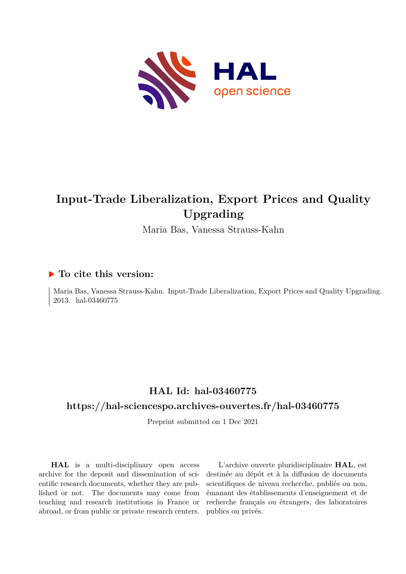

# **Input-Trade Liberalization, Export Prices and Quality Upgrading**

Maria Bas, Vanessa Strauss-Kahn

#### **To cite this version:**

Maria Bas, Vanessa Strauss-Kahn. Input-Trade Liberalization, Export Prices and Quality Upgrading. 2013. hal-03460775

### **HAL Id: hal-03460775**

#### **<https://hal-sciencespo.archives-ouvertes.fr/hal-03460775>**

Preprint submitted on 1 Dec 2021

**HAL** is a multi-disciplinary open access archive for the deposit and dissemination of scientific research documents, whether they are published or not. The documents may come from teaching and research institutions in France or abroad, or from public or private research centers.

L'archive ouverte pluridisciplinaire **HAL**, est destinée au dépôt et à la diffusion de documents scientifiques de niveau recherche, publiés ou non, émanant des établissements d'enseignement et de recherche français ou étrangers, des laboratoires publics ou privés.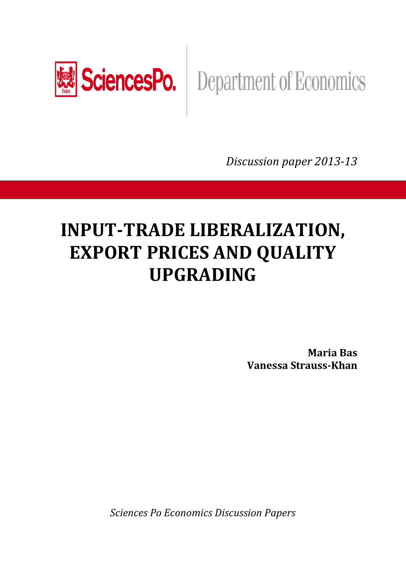

# SciencesPo. | Department of Economics

*Discussion paper 2013-13* 

# **INPUT-TRADE LIBERALIZATION, EXPORT PRICES AND QUALITY UPGRADING**

**Maria Bas Vanessa Strauss-Khan** 

*Sciences Po Economics Discussion Papers*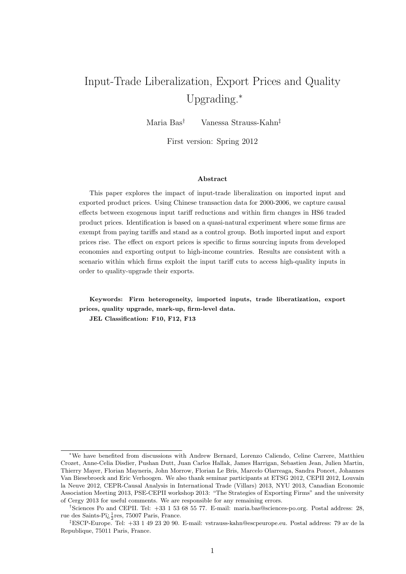# Input-Trade Liberalization, Export Prices and Quality Upgrading.<sup>∗</sup>

Maria Bas† Vanessa Strauss-Kahn‡

First version: Spring 2012

#### Abstract

This paper explores the impact of input-trade liberalization on imported input and exported product prices. Using Chinese transaction data for 2000-2006, we capture causal effects between exogenous input tariff reductions and within firm changes in HS6 traded product prices. Identification is based on a quasi-natural experiment where some firms are exempt from paying tariffs and stand as a control group. Both imported input and export prices rise. The effect on export prices is specific to firms sourcing inputs from developed economies and exporting output to high-income countries. Results are consistent with a scenario within which firms exploit the input tariff cuts to access high-quality inputs in order to quality-upgrade their exports.

Keywords: Firm heterogeneity, imported inputs, trade liberatization, export prices, quality upgrade, mark-up, firm-level data.

JEL Classification: F10, F12, F13

<sup>∗</sup>We have benefited from discussions with Andrew Bernard, Lorenzo Caliendo, Celine Carrere, Matthieu Crozet, Anne-Celia Disdier, Pushan Dutt, Juan Carlos Hallak, James Harrigan, Sebastien Jean, Julien Martin, Thierry Mayer, Florian Mayneris, John Morrow, Florian Le Bris, Marcelo Olarreaga, Sandra Poncet, Johannes Van Biesebroeck and Eric Verhoogen. We also thank seminar participants at ETSG 2012, CEPII 2012, Louvain la Neuve 2012, CEPR-Causal Analysis in International Trade (Villars) 2013, NYU 2013, Canadian Economic Association Meeting 2013, PSE-CEPII workshop 2013: "The Strategies of Exporting Firms" and the university of Cergy 2013 for useful comments. We are responsible for any remaining errors.

<sup>†</sup>Sciences Po and CEPII. Tel: +33 1 53 68 55 77. E-mail: maria.bas@sciences-po.org. Postal address: 28, rue des Saints-Pï $\frac{1}{2}$ res, 75007 Paris, France.

<sup>‡</sup>ESCP-Europe. Tel: +33 1 49 23 20 90. E-mail: vstrauss-kahn@escpeurope.eu. Postal address: 79 av de la Republique, 75011 Paris, France.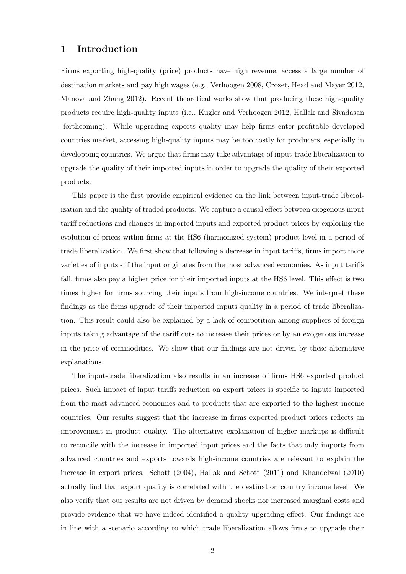#### 1 Introduction

Firms exporting high-quality (price) products have high revenue, access a large number of destination markets and pay high wages (e.g., Verhoogen 2008, Crozet, Head and Mayer 2012, Manova and Zhang 2012). Recent theoretical works show that producing these high-quality products require high-quality inputs (i.e., Kugler and Verhoogen 2012, Hallak and Sivadasan -forthcoming). While upgrading exports quality may help firms enter profitable developed countries market, accessing high-quality inputs may be too costly for producers, especially in developping countries. We argue that firms may take advantage of input-trade liberalization to upgrade the quality of their imported inputs in order to upgrade the quality of their exported products.

This paper is the first provide empirical evidence on the link between input-trade liberalization and the quality of traded products. We capture a causal effect between exogenous input tariff reductions and changes in imported inputs and exported product prices by exploring the evolution of prices within firms at the HS6 (harmonized system) product level in a period of trade liberalization. We first show that following a decrease in input tariffs, firms import more varieties of inputs - if the input originates from the most advanced economies. As input tariffs fall, firms also pay a higher price for their imported inputs at the HS6 level. This effect is two times higher for firms sourcing their inputs from high-income countries. We interpret these findings as the firms upgrade of their imported inputs quality in a period of trade liberalization. This result could also be explained by a lack of competition among suppliers of foreign inputs taking advantage of the tariff cuts to increase their prices or by an exogenous increase in the price of commodities. We show that our findings are not driven by these alternative explanations.

The input-trade liberalization also results in an increase of firms HS6 exported product prices. Such impact of input tariffs reduction on export prices is specific to inputs imported from the most advanced economies and to products that are exported to the highest income countries. Our results suggest that the increase in firms exported product prices reflects an improvement in product quality. The alternative explanation of higher markups is difficult to reconcile with the increase in imported input prices and the facts that only imports from advanced countries and exports towards high-income countries are relevant to explain the increase in export prices. Schott (2004), Hallak and Schott (2011) and Khandelwal (2010) actually find that export quality is correlated with the destination country income level. We also verify that our results are not driven by demand shocks nor increased marginal costs and provide evidence that we have indeed identified a quality upgrading effect. Our findings are in line with a scenario according to which trade liberalization allows firms to upgrade their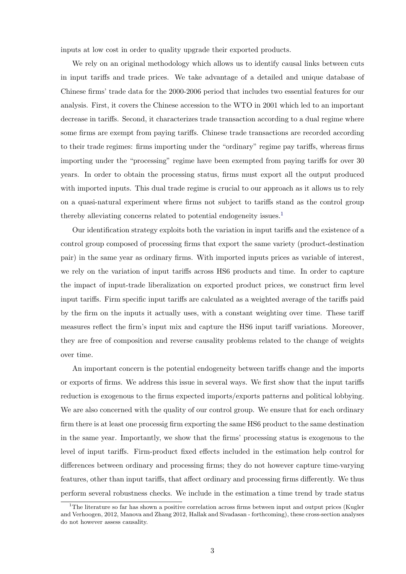inputs at low cost in order to quality upgrade their exported products.

We rely on an original methodology which allows us to identify causal links between cuts in input tariffs and trade prices. We take advantage of a detailed and unique database of Chinese firms' trade data for the 2000-2006 period that includes two essential features for our analysis. First, it covers the Chinese accession to the WTO in 2001 which led to an important decrease in tariffs. Second, it characterizes trade transaction according to a dual regime where some firms are exempt from paying tariffs. Chinese trade transactions are recorded according to their trade regimes: firms importing under the "ordinary" regime pay tariffs, whereas firms importing under the "processing" regime have been exempted from paying tariffs for over 30 years. In order to obtain the processing status, firms must export all the output produced with imported inputs. This dual trade regime is crucial to our approach as it allows us to rely on a quasi-natural experiment where firms not subject to tariffs stand as the control group thereby alleviating concerns related to potential endogeneity issues.<sup>1</sup>

Our identification strategy exploits both the variation in input tariffs and the existence of a control group composed of processing firms that export the same variety (product-destination pair) in the same year as ordinary firms. With imported inputs prices as variable of interest, we rely on the variation of input tariffs across HS6 products and time. In order to capture the impact of input-trade liberalization on exported product prices, we construct firm level input tariffs. Firm specific input tariffs are calculated as a weighted average of the tariffs paid by the firm on the inputs it actually uses, with a constant weighting over time. These tariff measures reflect the firm's input mix and capture the HS6 input tariff variations. Moreover, they are free of composition and reverse causality problems related to the change of weights over time.

An important concern is the potential endogeneity between tariffs change and the imports or exports of firms. We address this issue in several ways. We first show that the input tariffs reduction is exogenous to the firms expected imports/exports patterns and political lobbying. We are also concerned with the quality of our control group. We ensure that for each ordinary firm there is at least one processig firm exporting the same HS6 product to the same destination in the same year. Importantly, we show that the firms' processing status is exogenous to the level of input tariffs. Firm-product fixed effects included in the estimation help control for differences between ordinary and processing firms; they do not however capture time-varying features, other than input tariffs, that affect ordinary and processing firms differently. We thus perform several robustness checks. We include in the estimation a time trend by trade status

<sup>&</sup>lt;sup>1</sup>The literature so far has shown a positive correlation across firms between input and output prices (Kugler and Verhoogen, 2012, Manova and Zhang 2012, Hallak and Sivadasan - forthcoming), these cross-section analyses do not however assess causality.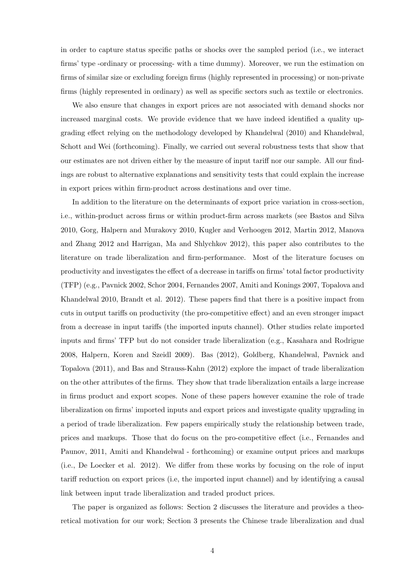in order to capture status specific paths or shocks over the sampled period (i.e., we interact firms' type -ordinary or processing- with a time dummy). Moreover, we run the estimation on firms of similar size or excluding foreign firms (highly represented in processing) or non-private firms (highly represented in ordinary) as well as specific sectors such as textile or electronics.

We also ensure that changes in export prices are not associated with demand shocks nor increased marginal costs. We provide evidence that we have indeed identified a quality upgrading effect relying on the methodology developed by Khandelwal (2010) and Khandelwal, Schott and Wei (forthcoming). Finally, we carried out several robustness tests that show that our estimates are not driven either by the measure of input tariff nor our sample. All our findings are robust to alternative explanations and sensitivity tests that could explain the increase in export prices within firm-product across destinations and over time.

In addition to the literature on the determinants of export price variation in cross-section, i.e., within-product across firms or within product-firm across markets (see Bastos and Silva 2010, Gorg, Halpern and Murakovy 2010, Kugler and Verhoogen 2012, Martin 2012, Manova and Zhang 2012 and Harrigan, Ma and Shlychkov 2012), this paper also contributes to the literature on trade liberalization and firm-performance. Most of the literature focuses on productivity and investigates the effect of a decrease in tariffs on firms' total factor productivity (TFP) (e.g., Pavnick 2002, Schor 2004, Fernandes 2007, Amiti and Konings 2007, Topalova and Khandelwal 2010, Brandt et al. 2012). These papers find that there is a positive impact from cuts in output tariffs on productivity (the pro-competitive effect) and an even stronger impact from a decrease in input tariffs (the imported inputs channel). Other studies relate imported inputs and firms' TFP but do not consider trade liberalization (e.g., Kasahara and Rodrigue 2008, Halpern, Koren and Szeidl 2009). Bas (2012), Goldberg, Khandelwal, Pavnick and Topalova (2011), and Bas and Strauss-Kahn (2012) explore the impact of trade liberalization on the other attributes of the firms. They show that trade liberalization entails a large increase in firms product and export scopes. None of these papers however examine the role of trade liberalization on firms' imported inputs and export prices and investigate quality upgrading in a period of trade liberalization. Few papers empirically study the relationship between trade, prices and markups. Those that do focus on the pro-competitive effect (i.e., Fernandes and Paunov, 2011, Amiti and Khandelwal - forthcoming) or examine output prices and markups (i.e., De Loecker et al. 2012). We differ from these works by focusing on the role of input tariff reduction on export prices (i.e, the imported input channel) and by identifying a causal link between input trade liberalization and traded product prices.

The paper is organized as follows: Section 2 discusses the literature and provides a theoretical motivation for our work; Section 3 presents the Chinese trade liberalization and dual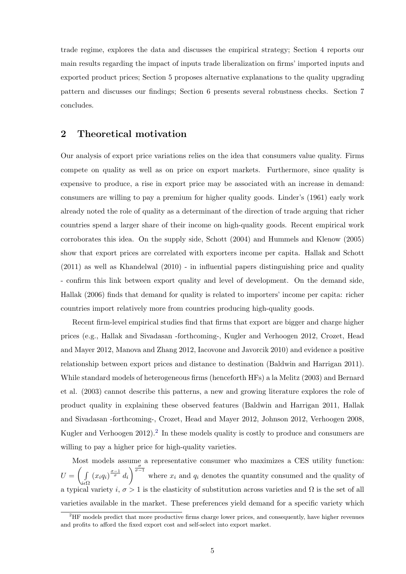trade regime, explores the data and discusses the empirical strategy; Section 4 reports our main results regarding the impact of inputs trade liberalization on firms' imported inputs and exported product prices; Section 5 proposes alternative explanations to the quality upgrading pattern and discusses our findings; Section 6 presents several robustness checks. Section 7 concludes.

#### 2 Theoretical motivation

Our analysis of export price variations relies on the idea that consumers value quality. Firms compete on quality as well as on price on export markets. Furthermore, since quality is expensive to produce, a rise in export price may be associated with an increase in demand: consumers are willing to pay a premium for higher quality goods. Linder's (1961) early work already noted the role of quality as a determinant of the direction of trade arguing that richer countries spend a larger share of their income on high-quality goods. Recent empirical work corroborates this idea. On the supply side, Schott (2004) and Hummels and Klenow (2005) show that export prices are correlated with exporters income per capita. Hallak and Schott (2011) as well as Khandelwal (2010) - in influential papers distinguishing price and quality - confirm this link between export quality and level of development. On the demand side, Hallak (2006) finds that demand for quality is related to importers' income per capita: richer countries import relatively more from countries producing high-quality goods.

Recent firm-level empirical studies find that firms that export are bigger and charge higher prices (e.g., Hallak and Sivadasan -forthcoming-, Kugler and Verhoogen 2012, Crozet, Head and Mayer 2012, Manova and Zhang 2012, Iacovone and Javorcik 2010) and evidence a positive relationship between export prices and distance to destination (Baldwin and Harrigan 2011). While standard models of heterogeneous firms (henceforth HFs) a la Melitz (2003) and Bernard et al. (2003) cannot describe this patterns, a new and growing literature explores the role of product quality in explaining these observed features (Baldwin and Harrigan 2011, Hallak and Sivadasan -forthcoming-, Crozet, Head and Mayer 2012, Johnson 2012, Verhoogen 2008, Kugler and Verhoogen 2012).<sup>2</sup> In these models quality is costly to produce and consumers are willing to pay a higher price for high-quality varieties.

Most models assume a representative consumer who maximizes a CES utility function:  $U = \begin{pmatrix} 1 \\ 1 \end{pmatrix}$  $i\epsilon\Omega$  $(x_iq_i)^{\frac{\sigma-1}{\sigma}}d_i$  $\int_{0}^{\frac{\sigma}{\sigma-1}}$  where  $x_i$  and  $q_i$  denotes the quantity consumed and the quality of a typical variety i,  $\sigma > 1$  is the elasticity of substitution across varieties and  $\Omega$  is the set of all varieties available in the market. These preferences yield demand for a specific variety which

<sup>&</sup>lt;sup>2</sup>HF models predict that more productive firms charge lower prices, and consequently, have higher revenues and profits to afford the fixed export cost and self-select into export market.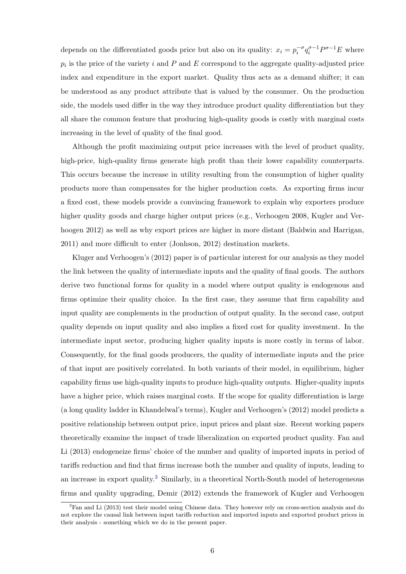depends on the differentiated goods price but also on its quality:  $x_i = p_i^{-\sigma} q_i^{\sigma-1} P^{\sigma-1} E$  where  $p_i$  is the price of the variety i and P and E correspond to the aggregate quality-adjusted price index and expenditure in the export market. Quality thus acts as a demand shifter; it can be understood as any product attribute that is valued by the consumer. On the production side, the models used differ in the way they introduce product quality differentiation but they all share the common feature that producing high-quality goods is costly with marginal costs increasing in the level of quality of the final good.

Although the profit maximizing output price increases with the level of product quality, high-price, high-quality firms generate high profit than their lower capability counterparts. This occurs because the increase in utility resulting from the consumption of higher quality products more than compensates for the higher production costs. As exporting firms incur a fixed cost, these models provide a convincing framework to explain why exporters produce higher quality goods and charge higher output prices (e.g., Verhoogen 2008, Kugler and Verhoogen 2012) as well as why export prices are higher in more distant (Baldwin and Harrigan, 2011) and more difficult to enter (Jonhson, 2012) destination markets.

Kluger and Verhoogen's (2012) paper is of particular interest for our analysis as they model the link between the quality of intermediate inputs and the quality of final goods. The authors derive two functional forms for quality in a model where output quality is endogenous and firms optimize their quality choice. In the first case, they assume that firm capability and input quality are complements in the production of output quality. In the second case, output quality depends on input quality and also implies a fixed cost for quality investment. In the intermediate input sector, producing higher quality inputs is more costly in terms of labor. Consequently, for the final goods producers, the quality of intermediate inputs and the price of that input are positively correlated. In both variants of their model, in equilibrium, higher capability firms use high-quality inputs to produce high-quality outputs. Higher-quality inputs have a higher price, which raises marginal costs. If the scope for quality differentiation is large (a long quality ladder in Khandelwal's terms), Kugler and Verhoogen's (2012) model predicts a positive relationship between output price, input prices and plant size. Recent working papers theoretically examine the impact of trade liberalization on exported product quality. Fan and Li (2013) endogeneize firms' choice of the number and quality of imported inputs in period of tariffs reduction and find that firms increase both the number and quality of inputs, leading to an increase in export quality.<sup>3</sup> Similarly, in a theoretical North-South model of heterogeneous firms and quality upgrading, Demir (2012) extends the framework of Kugler and Verhoogen

<sup>&</sup>lt;sup>3</sup>Fan and Li (2013) test their model using Chinese data. They however rely on cross-section analysis and do not explore the causal link between input tariffs reduction and imported inputs and exported product prices in their analysis - something which we do in the present paper.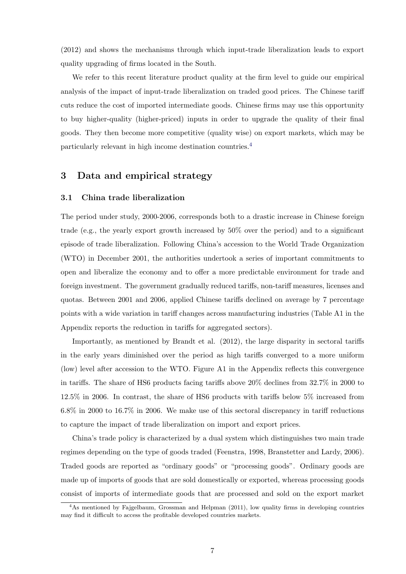(2012) and shows the mechanisms through which input-trade liberalization leads to export quality upgrading of firms located in the South.

We refer to this recent literature product quality at the firm level to guide our empirical analysis of the impact of input-trade liberalization on traded good prices. The Chinese tariff cuts reduce the cost of imported intermediate goods. Chinese firms may use this opportunity to buy higher-quality (higher-priced) inputs in order to upgrade the quality of their final goods. They then become more competitive (quality wise) on export markets, which may be particularly relevant in high income destination countries.4

#### 3 Data and empirical strategy

#### 3.1 China trade liberalization

The period under study, 2000-2006, corresponds both to a drastic increase in Chinese foreign trade (e.g., the yearly export growth increased by 50% over the period) and to a significant episode of trade liberalization. Following China's accession to the World Trade Organization (WTO) in December 2001, the authorities undertook a series of important commitments to open and liberalize the economy and to offer a more predictable environment for trade and foreign investment. The government gradually reduced tariffs, non-tariff measures, licenses and quotas. Between 2001 and 2006, applied Chinese tariffs declined on average by 7 percentage points with a wide variation in tariff changes across manufacturing industries (Table A1 in the Appendix reports the reduction in tariffs for aggregated sectors).

Importantly, as mentioned by Brandt et al. (2012), the large disparity in sectoral tariffs in the early years diminished over the period as high tariffs converged to a more uniform (low) level after accession to the WTO. Figure A1 in the Appendix reflects this convergence in tariffs. The share of HS6 products facing tariffs above 20% declines from 32.7% in 2000 to 12.5% in 2006. In contrast, the share of HS6 products with tariffs below 5% increased from 6.8% in 2000 to 16.7% in 2006. We make use of this sectoral discrepancy in tariff reductions to capture the impact of trade liberalization on import and export prices.

China's trade policy is characterized by a dual system which distinguishes two main trade regimes depending on the type of goods traded (Feenstra, 1998, Branstetter and Lardy, 2006). Traded goods are reported as "ordinary goods" or "processing goods". Ordinary goods are made up of imports of goods that are sold domestically or exported, whereas processing goods consist of imports of intermediate goods that are processed and sold on the export market

<sup>4</sup>As mentioned by Fajgelbaum, Grossman and Helpman (2011), low quality firms in developing countries may find it difficult to access the profitable developed countries markets.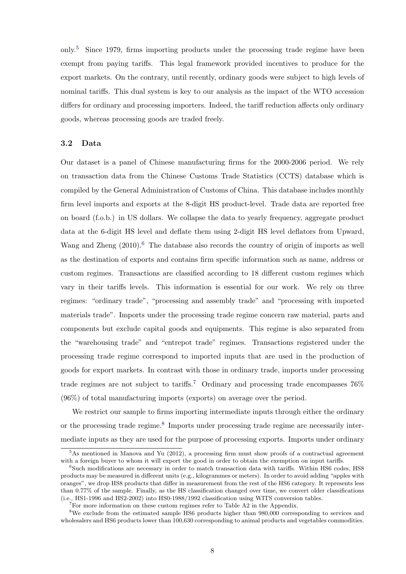only.5 Since 1979, firms importing products under the processing trade regime have been exempt from paying tariffs. This legal framework provided incentives to produce for the export markets. On the contrary, until recently, ordinary goods were subject to high levels of nominal tariffs. This dual system is key to our analysis as the impact of the WTO accession differs for ordinary and processing importers. Indeed, the tariff reduction affects only ordinary goods, whereas processing goods are traded freely.

#### 3.2 Data

Our dataset is a panel of Chinese manufacturing firms for the 2000-2006 period. We rely on transaction data from the Chinese Customs Trade Statistics (CCTS) database which is compiled by the General Administration of Customs of China. This database includes monthly firm level imports and exports at the 8-digit HS product-level. Trade data are reported free on board (f.o.b.) in US dollars. We collapse the data to yearly frequency, aggregate product data at the 6-digit HS level and deflate them using 2-digit HS level deflators from Upward, Wang and Zheng  $(2010)$ .<sup>6</sup> The database also records the country of origin of imports as well as the destination of exports and contains firm specific information such as name, address or custom regimes. Transactions are classified according to 18 different custom regimes which vary in their tariffs levels. This information is essential for our work. We rely on three regimes: "ordinary trade", "processing and assembly trade" and "processing with imported materials trade". Imports under the processing trade regime concern raw material, parts and components but exclude capital goods and equipments. This regime is also separated from the "warehousing trade" and "entrepot trade" regimes. Transactions registered under the processing trade regime correspond to imported inputs that are used in the production of goods for export markets. In contrast with those in ordinary trade, imports under processing trade regimes are not subject to tariffs.<sup>7</sup> Ordinary and processing trade encompasses  $76\%$ (96%) of total manufacturing imports (exports) on average over the period.

We restrict our sample to firms importing intermediate inputs through either the ordinary or the processing trade regime.<sup>8</sup> Imports under processing trade regime are necessarily intermediate inputs as they are used for the purpose of processing exports. Imports under ordinary

 $5$ As mentioned in Manova and Yu (2012), a processing firm must show proofs of a contractual agreement with a foreign buyer to whom it will export the good in order to obtain the exemption on input tariffs.

<sup>6</sup>Such modifications are necessary in order to match transaction data with tariffs. Within HS6 codes, HS8 products may be measured in different units (e.g., kilogrammes or meters). In order to avoid adding "apples with oranges", we drop HS8 products that differ in measurement from the rest of the HS6 category. It represents less than 0.77% of the sample. Finally, as the HS classification changed over time, we convert older classifications (i.e., HS1-1996 and HS2-2002) into HS0-1988/1992 classification using WITS conversion tables.

<sup>&</sup>lt;sup>7</sup>For more information on these custom regimes refer to Table A2 in the Appendix.

<sup>&</sup>lt;sup>8</sup>We exclude from the estimated sample HS6 products higher than 980,000 corresponding to services and wholesalers and HS6 products lower than 100,630 corresponding to animal products and vegetables commodities.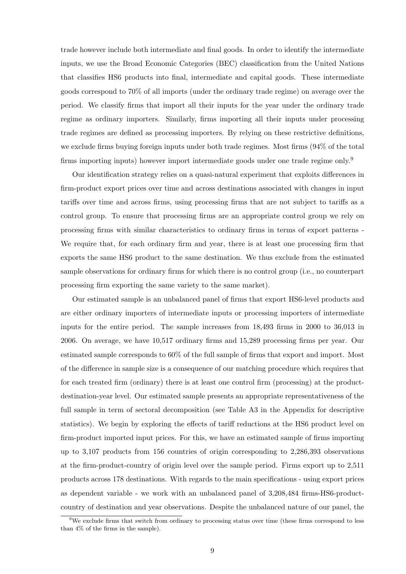trade however include both intermediate and final goods. In order to identify the intermediate inputs, we use the Broad Economic Categories (BEC) classification from the United Nations that classifies HS6 products into final, intermediate and capital goods. These intermediate goods correspond to 70% of all imports (under the ordinary trade regime) on average over the period. We classify firms that import all their inputs for the year under the ordinary trade regime as ordinary importers. Similarly, firms importing all their inputs under processing trade regimes are defined as processing importers. By relying on these restrictive definitions, we exclude firms buying foreign inputs under both trade regimes. Most firms (94% of the total firms importing inputs) however import intermediate goods under one trade regime only.<sup>9</sup>

Our identification strategy relies on a quasi-natural experiment that exploits differences in firm-product export prices over time and across destinations associated with changes in input tariffs over time and across firms, using processing firms that are not subject to tariffs as a control group. To ensure that processing firms are an appropriate control group we rely on processing firms with similar characteristics to ordinary firms in terms of export patterns - We require that, for each ordinary firm and year, there is at least one processing firm that exports the same HS6 product to the same destination. We thus exclude from the estimated sample observations for ordinary firms for which there is no control group (i.e., no counterpart processing firm exporting the same variety to the same market).

Our estimated sample is an unbalanced panel of firms that export HS6-level products and are either ordinary importers of intermediate inputs or processing importers of intermediate inputs for the entire period. The sample increases from 18,493 firms in 2000 to 36,013 in 2006. On average, we have 10,517 ordinary firms and 15,289 processing firms per year. Our estimated sample corresponds to 60% of the full sample of firms that export and import. Most of the difference in sample size is a consequence of our matching procedure which requires that for each treated firm (ordinary) there is at least one control firm (processing) at the productdestination-year level. Our estimated sample presents an appropriate representativeness of the full sample in term of sectoral decomposition (see Table A3 in the Appendix for descriptive statistics). We begin by exploring the effects of tariff reductions at the HS6 product level on firm-product imported input prices. For this, we have an estimated sample of firms importing up to 3,107 products from 156 countries of origin corresponding to 2,286,393 observations at the firm-product-country of origin level over the sample period. Firms export up to 2,511 products across 178 destinations. With regards to the main specifications - using export prices as dependent variable - we work with an unbalanced panel of 3,208,484 firms-HS6-productcountry of destination and year observations. Despite the unbalanced nature of our panel, the

<sup>9</sup>We exclude firms that switch from ordinary to processing status over time (these firms correspond to less than 4% of the firms in the sample).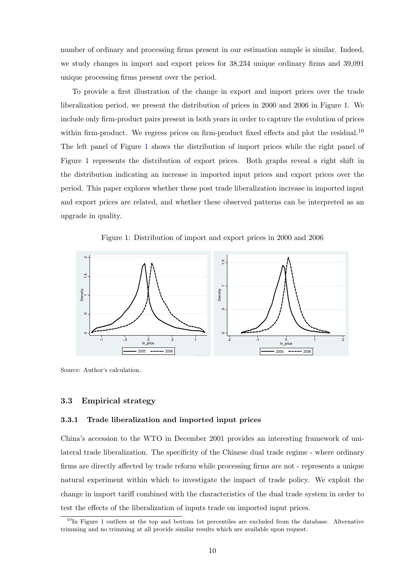number of ordinary and processing firms present in our estimation sample is similar. Indeed, we study changes in import and export prices for 38,234 unique ordinary firms and 39,091 unique processing firms present over the period.

To provide a first illustration of the change in export and import prices over the trade liberalization period, we present the distribution of prices in 2000 and 2006 in Figure 1. We include only firm-product pairs present in both years in order to capture the evolution of prices within firm-product. We regress prices on firm-product fixed effects and plot the residual.<sup>10</sup> The left panel of Figure 1 shows the distribution of import prices while the right panel of Figure 1 represents the distribution of export prices. Both graphs reveal a right shift in the distribution indicating an increase in imported input prices and export prices over the period. This paper explores whether these post trade liberalization increase in imported input and export prices are related, and whether these observed patterns can be interpreted as an upgrade in quality.

Figure 1: Distribution of import and export prices in 2000 and 2006



Source: Author's calculation.

#### 3.3 Empirical strategy

#### 3.3.1 Trade liberalization and imported input prices

China's accession to the WTO in December 2001 provides an interesting framework of unilateral trade liberalization. The specificity of the Chinese dual trade regime - where ordinary firms are directly affected by trade reform while processing firms are not - represents a unique natural experiment within which to investigate the impact of trade policy. We exploit the change in import tariff combined with the characteristics of the dual trade system in order to test the effects of the liberalization of inputs trade on imported input prices.

<sup>&</sup>lt;sup>10</sup>In Figure 1 outliers at the top and bottom 1st percentiles are excluded from the database. Alternative trimming and no trimming at all provide similar results which are available upon request.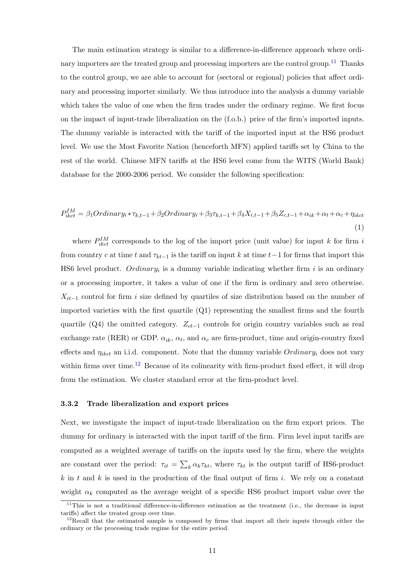The main estimation strategy is similar to a difference-in-difference approach where ordinary importers are the treated group and processing importers are the control group.<sup>11</sup> Thanks to the control group, we are able to account for (sectoral or regional) policies that affect ordinary and processing importer similarly. We thus introduce into the analysis a dummy variable which takes the value of one when the firm trades under the ordinary regime. We first focus on the impact of input-trade liberalization on the (f.o.b.) price of the firm's imported inputs. The dummy variable is interacted with the tariff of the imported input at the HS6 product level. We use the Most Favorite Nation (henceforth MFN) applied tariffs set by China to the rest of the world. Chinese MFN tariffs at the HS6 level come from the WITS (World Bank) database for the 2000-2006 period. We consider the following specification:

$$
P_{ikct}^{IM} = \beta_1 Ordinary_i * \tau_{k,t-1} + \beta_2 Ordinary_i + \beta_3 \tau_{k,t-1} + \beta_4 X_{i,t-1} + \beta_5 Z_{c,t-1} + \alpha_{ik} + \alpha_t + \alpha_c + \eta_{ikct}
$$
\n
$$
\tag{1}
$$

where  $P_{ikct}^{IM}$  corresponds to the log of the import price (unit value) for input k for firm i from country c at time t and  $\tau_{kt-1}$  is the tariff on input k at time t-1 for firms that import this HS6 level product.  $Ordinary_i$  is a dummy variable indicating whether firm i is an ordinary or a processing importer, it takes a value of one if the firm is ordinary and zero otherwise.  $X_{it-1}$  control for firm i size defined by quartiles of size distribution based on the number of imported varieties with the first quartile  $(Q1)$  representing the smallest firms and the fourth quartile (Q4) the omitted category.  $Z_{ct-1}$  controls for origin country variables such as real exchange rate (RER) or GDP.  $\alpha_{ik}$ ,  $\alpha_t$ , and  $\alpha_c$  are firm-product, time and origin-country fixed effects and  $\eta_{ikct}$  an i.i.d. component. Note that the dummy variable  $Ordinary_i$  does not vary within firms over time.<sup>12</sup> Because of its colinearity with firm-product fixed effect, it will drop from the estimation. We cluster standard error at the firm-product level.

#### 3.3.2 Trade liberalization and export prices

Next, we investigate the impact of input-trade liberalization on the firm export prices. The dummy for ordinary is interacted with the input tariff of the firm. Firm level input tariffs are computed as a weighted average of tariffs on the inputs used by the firm, where the weights are constant over the period:  $\tau_{it} = \sum_{k} \alpha_k \tau_{kt}$ , where  $\tau_{kt}$  is the output tariff of HS6-product k in t and k is used in the production of the final output of firm i. We rely on a constant weight  $\alpha_k$  computed as the average weight of a specific HS6 product import value over the

 $11$ This is not a traditional difference-in-difference estimation as the treatment (i.e., the decrease in input tariffs) affect the treated group over time.

 $12$ Recall that the estimated sample is composed by firms that import all their inputs through either the ordinary or the processing trade regime for the entire period.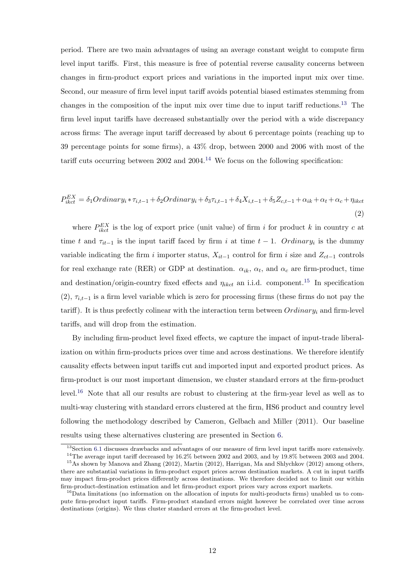period. There are two main advantages of using an average constant weight to compute firm level input tariffs. First, this measure is free of potential reverse causality concerns between changes in firm-product export prices and variations in the imported input mix over time. Second, our measure of firm level input tariff avoids potential biased estimates stemming from changes in the composition of the input mix over time due to input tariff reductions.13 The firm level input tariffs have decreased substantially over the period with a wide discrepancy across firms: The average input tariff decreased by about 6 percentage points (reaching up to 39 percentage points for some firms), a 43% drop, between 2000 and 2006 with most of the tariff cuts occurring between 2002 and 2004.<sup>14</sup> We focus on the following specification:

$$
P_{ikct}^{EX} = \delta_1 Ordinary_i * \tau_{i,t-1} + \delta_2 Ordinary_i + \delta_3 \tau_{i,t-1} + \delta_4 X_{i,t-1} + \delta_5 Z_{c,t-1} + \alpha_{ik} + \alpha_t + \alpha_c + \eta_{ikct}
$$
\n
$$
\tag{2}
$$

where  $P_{ikct}^{EX}$  is the log of export price (unit value) of firm i for product k in country c at time t and  $\tau_{it-1}$  is the input tariff faced by firm i at time  $t-1$ . Ordinary<sub>i</sub> is the dummy variable indicating the firm i importer status,  $X_{it-1}$  control for firm i size and  $Z_{ct-1}$  controls for real exchange rate (RER) or GDP at destination.  $\alpha_{ik}$ ,  $\alpha_t$ , and  $\alpha_c$  are firm-product, time and destination/origin-country fixed effects and  $\eta_{ikct}$  an i.i.d. component.<sup>15</sup> In specification (2),  $\tau_{i,t-1}$  is a firm level variable which is zero for processing firms (these firms do not pay the tariff). It is thus prefectly colinear with the interaction term between  $Ordinary_i$  and firm-level tariffs, and will drop from the estimation.

By including firm-product level fixed effects, we capture the impact of input-trade liberalization on within firm-products prices over time and across destinations. We therefore identify causality effects between input tariffs cut and imported input and exported product prices. As firm-product is our most important dimension, we cluster standard errors at the firm-product level.16 Note that all our results are robust to clustering at the firm-year level as well as to multi-way clustering with standard errors clustered at the firm, HS6 product and country level following the methodology described by Cameron, Gelbach and Miller (2011). Our baseline results using these alternatives clustering are presented in Section 6.

<sup>&</sup>lt;sup>13</sup>Section 6.1 discusses drawbacks and advantages of our measure of firm level input tariffs more extensively.

 $^{14}{\rm The}$  average input tariff decreased by 16.2% between 2002 and 2003, and by 19.8% between 2003 and 2004.

<sup>15</sup>As shown by Manova and Zhang (2012), Martin (2012), Harrigan, Ma and Shlychkov (2012) among others, there are substantial variations in firm-product export prices across destination markets. A cut in input tariffs may impact firm-product prices differently across destinations. We therefore decided not to limit our within firm-product-destination estimation and let firm-product export prices vary across export markets.

 $16$ Data limitations (no information on the allocation of inputs for multi-products firms) unabled us to compute firm-product input tariffs. Firm-product standard errors might however be correlated over time across destinations (origins). We thus cluster standard errors at the firm-product level.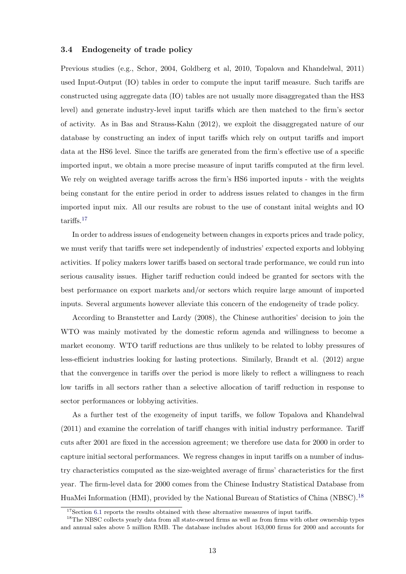#### 3.4 Endogeneity of trade policy

Previous studies (e.g., Schor, 2004, Goldberg et al, 2010, Topalova and Khandelwal, 2011) used Input-Output (IO) tables in order to compute the input tariff measure. Such tariffs are constructed using aggregate data (IO) tables are not usually more disaggregated than the HS3 level) and generate industry-level input tariffs which are then matched to the firm's sector of activity. As in Bas and Strauss-Kahn (2012), we exploit the disaggregated nature of our database by constructing an index of input tariffs which rely on output tariffs and import data at the HS6 level. Since the tariffs are generated from the firm's effective use of a specific imported input, we obtain a more precise measure of input tariffs computed at the firm level. We rely on weighted average tariffs across the firm's HS6 imported inputs - with the weights being constant for the entire period in order to address issues related to changes in the firm imported input mix. All our results are robust to the use of constant inital weights and IO tariffs.17

In order to address issues of endogeneity between changes in exports prices and trade policy, we must verify that tariffs were set independently of industries' expected exports and lobbying activities. If policy makers lower tariffs based on sectoral trade performance, we could run into serious causality issues. Higher tariff reduction could indeed be granted for sectors with the best performance on export markets and/or sectors which require large amount of imported inputs. Several arguments however alleviate this concern of the endogeneity of trade policy.

According to Branstetter and Lardy (2008), the Chinese authorities' decision to join the WTO was mainly motivated by the domestic reform agenda and willingness to become a market economy. WTO tariff reductions are thus unlikely to be related to lobby pressures of less-efficient industries looking for lasting protections. Similarly, Brandt et al. (2012) argue that the convergence in tariffs over the period is more likely to reflect a willingness to reach low tariffs in all sectors rather than a selective allocation of tariff reduction in response to sector performances or lobbying activities.

As a further test of the exogeneity of input tariffs, we follow Topalova and Khandelwal (2011) and examine the correlation of tariff changes with initial industry performance. Tariff cuts after 2001 are fixed in the accession agreement; we therefore use data for 2000 in order to capture initial sectoral performances. We regress changes in input tariffs on a number of industry characteristics computed as the size-weighted average of firms' characteristics for the first year. The firm-level data for 2000 comes from the Chinese Industry Statistical Database from HuaMei Information (HMI), provided by the National Bureau of Statistics of China (NBSC).<sup>18</sup>

 $17$ Section 6.1 reports the results obtained with these alternative measures of input tariffs.

<sup>&</sup>lt;sup>18</sup>The NBSC collects yearly data from all state-owned firms as well as from firms with other ownership types and annual sales above 5 million RMB. The database includes about 163,000 firms for 2000 and accounts for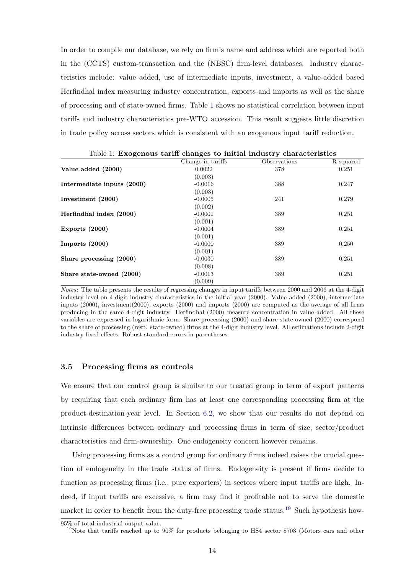In order to compile our database, we rely on firm's name and address which are reported both in the (CCTS) custom-transaction and the (NBSC) firm-level databases. Industry characteristics include: value added, use of intermediate inputs, investment, a value-added based Herfindhal index measuring industry concentration, exports and imports as well as the share of processing and of state-owned firms. Table 1 shows no statistical correlation between input tariffs and industry characteristics pre-WTO accession. This result suggests little discretion in trade policy across sectors which is consistent with an exogenous input tariff reduction.

|                            | Table 1: Exogenous tariff changes to initial industry characteristics |              |           |
|----------------------------|-----------------------------------------------------------------------|--------------|-----------|
|                            | Change in tariffs                                                     | Observations | R-squared |
| Value added (2000)         | 0.0022                                                                | 378          | 0.251     |
|                            | (0.003)                                                               |              |           |
| Intermediate inputs (2000) | $-0.0016$                                                             | 388          | 0.247     |
|                            | (0.003)                                                               |              |           |
| Investment (2000)          | $-0.0005$                                                             | 241          | 0.279     |
|                            | (0.002)                                                               |              |           |
| Herfindhal index (2000)    | $-0.0001$                                                             | 389          | 0.251     |
|                            | (0.001)                                                               |              |           |
| Exports $(2000)$           | $-0.0004$                                                             | 389          | 0.251     |
|                            | (0.001)                                                               |              |           |
| Imports $(2000)$           | $-0.0000$                                                             | 389          | 0.250     |
|                            | (0.001)                                                               |              |           |
| Share processing (2000)    | $-0.0030$                                                             | 389          | 0.251     |
|                            | (0.008)                                                               |              |           |
| Share state-owned (2000)   | $-0.0013$                                                             | 389          | 0.251     |
|                            | (0.009)                                                               |              |           |

Notes: The table presents the results of regressing changes in input tariffs between 2000 and 2006 at the 4-digit industry level on 4-digit industry characteristics in the initial year (2000). Value added (2000), intermediate inputs (2000), investment(2000), exports (2000) and imports (2000) are computed as the average of all firms producing in the same 4-digit industry. Herfindhal (2000) measure concentration in value added. All these variables are expressed in logarithmic form. Share processing (2000) and share state-owned (2000) correspond to the share of processing (resp. state-owned) firms at the 4-digit industry level. All estimations include 2-digit industry fixed effects. Robust standard errors in parentheses.

#### 3.5 Processing firms as controls

We ensure that our control group is similar to our treated group in term of export patterns by requiring that each ordinary firm has at least one corresponding processing firm at the product-destination-year level. In Section 6.2, we show that our results do not depend on intrinsic differences between ordinary and processing firms in term of size, sector/product characteristics and firm-ownership. One endogeneity concern however remains.

Using processing firms as a control group for ordinary firms indeed raises the crucial question of endogeneity in the trade status of firms. Endogeneity is present if firms decide to function as processing firms (i.e., pure exporters) in sectors where input tariffs are high. Indeed, if input tariffs are excessive, a firm may find it profitable not to serve the domestic market in order to benefit from the duty-free processing trade status.<sup>19</sup> Such hypothesis how-

<sup>95%</sup> of total industrial output value.

<sup>&</sup>lt;sup>19</sup>Note that tariffs reached up to 90% for products belonging to HS4 sector 8703 (Motors cars and other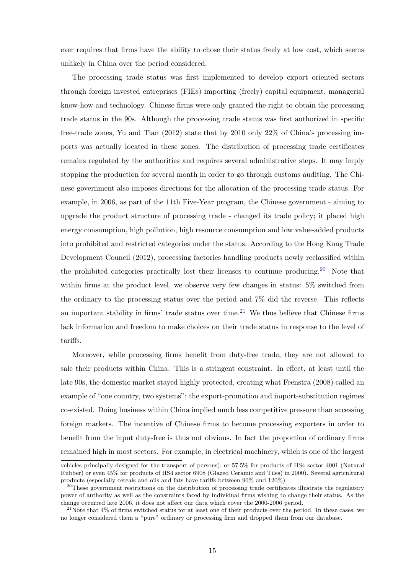ever requires that firms have the ability to chose their status freely at low cost, which seems unlikely in China over the period considered.

The processing trade status was first implemented to develop export oriented sectors through foreign invested entreprises (FIEs) importing (freely) capital equipment, managerial know-how and technology. Chinese firms were only granted the right to obtain the processing trade status in the 90s. Although the processing trade status was first authorized in specific free-trade zones, Yu and Tian (2012) state that by 2010 only 22% of China's processing imports was actually located in these zones. The distribution of processing trade certificates remains regulated by the authorities and requires several administrative steps. It may imply stopping the production for several month in order to go through customs auditing. The Chinese government also imposes directions for the allocation of the processing trade status. For example, in 2006, as part of the 11th Five-Year program, the Chinese government - aiming to upgrade the product structure of processing trade - changed its trade policy; it placed high energy consumption, high pollution, high resource consumption and low value-added products into prohibited and restricted categories under the status. According to the Hong Kong Trade Development Council (2012), processing factories handling products newly reclassified within the prohibited categories practically lost their licenses to continue producing.<sup>20</sup> Note that within firms at the product level, we observe very few changes in status: 5% switched from the ordinary to the processing status over the period and 7% did the reverse. This reflects an important stability in firms' trade status over time.<sup>21</sup> We thus believe that Chinese firms lack information and freedom to make choices on their trade status in response to the level of tariffs.

Moreover, while processing firms benefit from duty-free trade, they are not allowed to sale their products within China. This is a stringent constraint. In effect, at least until the late 90s, the domestic market stayed highly protected, creating what Feenstra (2008) called an example of "one country, two systems"; the export-promotion and import-substitution regimes co-existed. Doing business within China implied much less competitive pressure than accessing foreign markets. The incentive of Chinese firms to become processing exporters in order to benefit from the input duty-free is thus not obvious. In fact the proportion of ordinary firms remained high in most sectors. For example, in electrical machinery, which is one of the largest

vehicles principally designed for the transport of persons), or 57.5% for products of HS4 sector 4001 (Natural Rubber) or even 45% for products of HS4 sector 6908 (Glazed Ceramic and Tiles) in 2000). Several agricultural products (especially cereals and oils and fats have tariffs between 90% and 120%).

<sup>&</sup>lt;sup>20</sup>These government restrictions on the distribution of processing trade certificates illustrate the regulatory power of authority as well as the constraints faced by individual firms wishing to change their status. As the change occurred late 2006, it does not affect our data which cover the 2000-2006 period.

 $21$ Note that 4% of firms switched status for at least one of their products over the period. In these cases, we no longer considered them a "pure" ordinary or processing firm and dropped them from our database.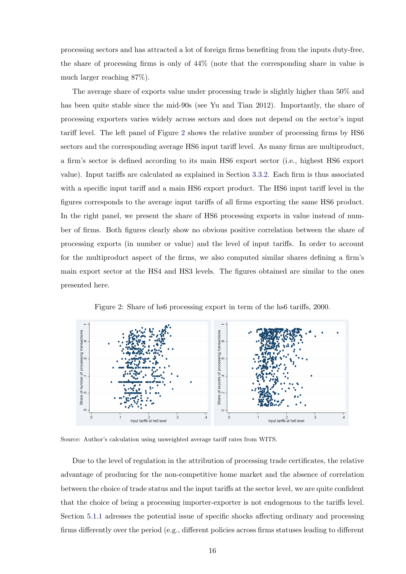processing sectors and has attracted a lot of foreign firms benefiting from the inputs duty-free, the share of processing firms is only of 44% (note that the corresponding share in value is much larger reaching 87%).

The average share of exports value under processing trade is slightly higher than 50% and has been quite stable since the mid-90s (see Yu and Tian 2012). Importantly, the share of processing exporters varies widely across sectors and does not depend on the sector's input tariff level. The left panel of Figure 2 shows the relative number of processing firms by HS6 sectors and the corresponding average HS6 input tariff level. As many firms are multiproduct, a firm's sector is defined according to its main HS6 export sector (i.e., highest HS6 export value). Input tariffs are calculated as explained in Section 3.3.2. Each firm is thus associated with a specific input tariff and a main HS6 export product. The HS6 input tariff level in the figures corresponds to the average input tariffs of all firms exporting the same HS6 product. In the right panel, we present the share of HS6 processing exports in value instead of number of firms. Both figures clearly show no obvious positive correlation between the share of processing exports (in number or value) and the level of input tariffs. In order to account for the multiproduct aspect of the firms, we also computed similar shares defining a firm's main export sector at the HS4 and HS3 levels. The figures obtained are similar to the ones presented here.



Figure 2: Share of hs6 processing export in term of the hs6 tariffs, 2000.

Source: Author's calculation using unweighted average tariff rates from WITS.

Due to the level of regulation in the attribution of processing trade certificates, the relative advantage of producing for the non-competitive home market and the absence of correlation between the choice of trade status and the input tariffs at the sector level, we are quite confident that the choice of being a processing importer-exporter is not endogenous to the tariffs level. Section 5.1.1 adresses the potential issue of specific shocks affecting ordinary and processing firms differently over the period (e.g., different policies across firms statuses leading to different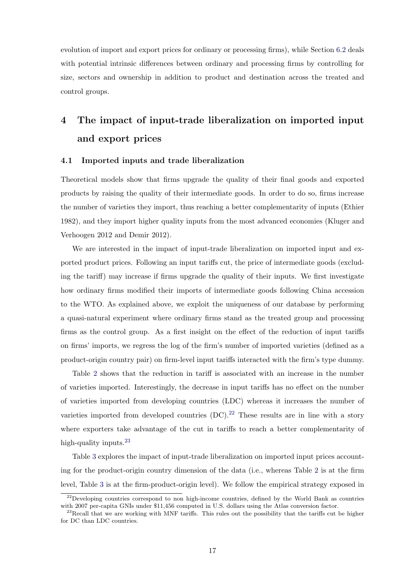evolution of import and export prices for ordinary or processing firms), while Section 6.2 deals with potential intrinsic differences between ordinary and processing firms by controlling for size, sectors and ownership in addition to product and destination across the treated and control groups.

# 4 The impact of input-trade liberalization on imported input and export prices

#### 4.1 Imported inputs and trade liberalization

Theoretical models show that firms upgrade the quality of their final goods and exported products by raising the quality of their intermediate goods. In order to do so, firms increase the number of varieties they import, thus reaching a better complementarity of inputs (Ethier 1982), and they import higher quality inputs from the most advanced economies (Kluger and Verhoogen 2012 and Demir 2012).

We are interested in the impact of input-trade liberalization on imported input and exported product prices. Following an input tariffs cut, the price of intermediate goods (excluding the tariff) may increase if firms upgrade the quality of their inputs. We first investigate how ordinary firms modified their imports of intermediate goods following China accession to the WTO. As explained above, we exploit the uniqueness of our database by performing a quasi-natural experiment where ordinary firms stand as the treated group and processing firms as the control group. As a first insight on the effect of the reduction of input tariffs on firms' imports, we regress the log of the firm's number of imported varieties (defined as a product-origin country pair) on firm-level input tariffs interacted with the firm's type dummy.

Table 2 shows that the reduction in tariff is associated with an increase in the number of varieties imported. Interestingly, the decrease in input tariffs has no effect on the number of varieties imported from developing countries (LDC) whereas it increases the number of varieties imported from developed countries  $(DC)$ .<sup>22</sup> These results are in line with a story where exporters take advantage of the cut in tariffs to reach a better complementarity of high-quality inputs.<sup>23</sup>

Table 3 explores the impact of input-trade liberalization on imported input prices accounting for the product-origin country dimension of the data (i.e., whereas Table 2 is at the firm level, Table 3 is at the firm-product-origin level). We follow the empirical strategy exposed in

<sup>&</sup>lt;sup>22</sup>Developing countries correspond to non high-income countries, defined by the World Bank as countries with 2007 per-capita GNIs under \$11,456 computed in U.S. dollars using the Atlas conversion factor.

 $^{23}$ Recall that we are working with MNF tariffs. This rules out the possibility that the tariffs cut be higher for DC than LDC countries.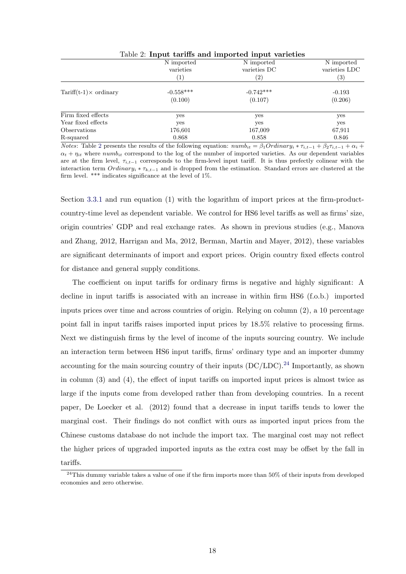|                                      | Table 2: Input tariffs and imported input varieties |                   |                   |
|--------------------------------------|-----------------------------------------------------|-------------------|-------------------|
|                                      | N imported                                          | N imported        | N imported        |
|                                      | varieties                                           | varieties DC      | varieties LDC     |
|                                      | (1)                                                 | $\left( 2\right)$ | $\left( 3\right)$ |
| $Tariff(t-1) \times \text{ordinary}$ | $-0.558***$                                         | $-0.742***$       | $-0.193$          |
|                                      | (0.100)                                             | (0.107)           | (0.206)           |
| Firm fixed effects                   | yes                                                 | yes               | yes               |
| Year fixed effects                   | yes                                                 | yes               | yes               |
| Observations                         | 176,601                                             | 167,009           | 67,911            |
| R-squared                            | 0.868                                               | 0.858             | 0.846             |

*Notes*: Table 2 presents the results of the following equation:  $numb_{it} = \beta_1Ordinary_i * \tau_{i,t-1} + \beta_2\tau_{i,t-1} + \alpha_i +$  $\alpha_t + \eta_{it}$  where numb<sub>it</sub> correspond to the log of the number of imported varieties. As our dependent variables are at the firm level,  $\tau_{i,t-1}$  corresponds to the firm-level input tariff. It is thus prefectly colinear with the interaction term  $Ordinary_i * \tau_{k,t-1}$  and is dropped from the estimation. Standard errors are clustered at the firm level. \*\*\* indicates significance at the level of  $1\%$ .

Section 3.3.1 and run equation (1) with the logarithm of import prices at the firm-productcountry-time level as dependent variable. We control for HS6 level tariffs as well as firms' size, origin countries' GDP and real exchange rates. As shown in previous studies (e.g., Manova and Zhang, 2012, Harrigan and Ma, 2012, Berman, Martin and Mayer, 2012), these variables are significant determinants of import and export prices. Origin country fixed effects control for distance and general supply conditions.

The coefficient on input tariffs for ordinary firms is negative and highly significant: A decline in input tariffs is associated with an increase in within firm HS6 (f.o.b.) imported inputs prices over time and across countries of origin. Relying on column (2), a 10 percentage point fall in input tariffs raises imported input prices by 18.5% relative to processing firms. Next we distinguish firms by the level of income of the inputs sourcing country. We include an interaction term between HS6 input tariffs, firms' ordinary type and an importer dummy accounting for the main sourcing country of their inputs  $(DC/LDC)^{24}$  Importantly, as shown in column (3) and (4), the effect of input tariffs on imported input prices is almost twice as large if the inputs come from developed rather than from developing countries. In a recent paper, De Loecker et al. (2012) found that a decrease in input tariffs tends to lower the marginal cost. Their findings do not conflict with ours as imported input prices from the Chinese customs database do not include the import tax. The marginal cost may not reflect the higher prices of upgraded imported inputs as the extra cost may be offset by the fall in tariffs.

 $^{24}$ This dummy variable takes a value of one if the firm imports more than 50% of their inputs from developed economies and zero otherwise.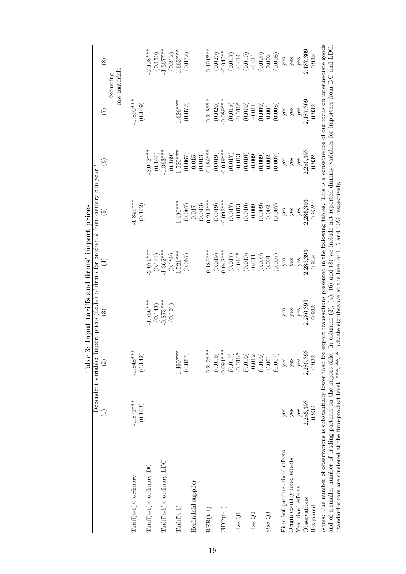|                                                                                                                                                                                                                                                                                                                                                                                          |             | Dependent variable: Import prices (f.o.b.) of firm i for product k from country c in year t |                        |             |                                                                                                                   |                   |               |               |
|------------------------------------------------------------------------------------------------------------------------------------------------------------------------------------------------------------------------------------------------------------------------------------------------------------------------------------------------------------------------------------------|-------------|---------------------------------------------------------------------------------------------|------------------------|-------------|-------------------------------------------------------------------------------------------------------------------|-------------------|---------------|---------------|
|                                                                                                                                                                                                                                                                                                                                                                                          |             | $\widehat{\mathfrak{D}}$                                                                    | $\widehat{\mathbf{e}}$ | $(\pm)$     | $\widetilde{E}$                                                                                                   | $\widehat{\circ}$ | E             | $\circledast$ |
|                                                                                                                                                                                                                                                                                                                                                                                          |             |                                                                                             |                        |             |                                                                                                                   |                   | raw materials | Excluding     |
| $Tariff(t-1) \times$ ordinary                                                                                                                                                                                                                                                                                                                                                            | $-1.572***$ | $-1.848***$                                                                                 |                        |             | $-1.849***$                                                                                                       |                   | $-1.892***$   |               |
|                                                                                                                                                                                                                                                                                                                                                                                          | (0.143)     | (0.142)                                                                                     |                        |             | (0.142)                                                                                                           |                   | (0.149)       |               |
| $Tariff(t-1) \times$ ordinary DC                                                                                                                                                                                                                                                                                                                                                         |             |                                                                                             | $-1.766***$            | $-2.071***$ |                                                                                                                   | $2.072***$        |               | $2.108***$    |
|                                                                                                                                                                                                                                                                                                                                                                                          |             |                                                                                             | (0.143)                | (0.144)     |                                                                                                                   | (0.144)           |               | (0.150)       |
| $Tariff(t-1) \times$ ordinary LDC                                                                                                                                                                                                                                                                                                                                                        |             |                                                                                             | $-0.875***$            | $-1.362***$ |                                                                                                                   | $-1.363***$       |               | $1.367***$    |
|                                                                                                                                                                                                                                                                                                                                                                                          |             |                                                                                             | (0.191)                | (0.189)     |                                                                                                                   | (0.189)           |               | (0.212)       |
| $Tarriff(t-1)$                                                                                                                                                                                                                                                                                                                                                                           |             | $1.490***$                                                                                  |                        | $1.521***$  | $1.490***$                                                                                                        | $.520***$         | $.626***$     | $0.662***$    |
|                                                                                                                                                                                                                                                                                                                                                                                          |             | (0.067)                                                                                     |                        | (0.067)     | (0.067)                                                                                                           | (0.067)           | (0.072)       | (0.072)       |
| Herfindahl supplier                                                                                                                                                                                                                                                                                                                                                                      |             |                                                                                             |                        |             | 710.0                                                                                                             | 0.015             |               |               |
|                                                                                                                                                                                                                                                                                                                                                                                          |             |                                                                                             |                        |             | (0.013)                                                                                                           | (0.013)           |               |               |
| $RER(t-1)$                                                                                                                                                                                                                                                                                                                                                                               |             | $-0.212***$                                                                                 |                        | $0.186***$  | $-0.213***$                                                                                                       | $-0.186***$       | $0.218***$    | $0.191***$    |
|                                                                                                                                                                                                                                                                                                                                                                                          |             | (0.019)                                                                                     |                        | (0.019)     | (0.019)                                                                                                           | (0.019)           | (0.020)       | (0.020)       |
| $\mathrm{GDP}(t\text{-}1)$                                                                                                                                                                                                                                                                                                                                                               |             | $-0.091***$                                                                                 |                        | $-0.048***$ | $-0.092***$                                                                                                       | $-0.049***$       | $-0.089***$   | $-0.045**$    |
|                                                                                                                                                                                                                                                                                                                                                                                          |             | (0.017)                                                                                     |                        | (0.017)     | (0.017)                                                                                                           | (0.017)           | (0.018)       | (0.017)       |
| Size Q1                                                                                                                                                                                                                                                                                                                                                                                  |             | $-0.016*$                                                                                   |                        | $-0.016*$   | $-0.013$                                                                                                          | $-0.013$          | $-0.016*$     | $-0.016$      |
|                                                                                                                                                                                                                                                                                                                                                                                          |             | (0.010)                                                                                     |                        | (0.010)     | (0.010)                                                                                                           | (0.010)           | (0.010)       | (0.010)       |
| Size Q <sub>2</sub>                                                                                                                                                                                                                                                                                                                                                                      |             | $-0.012$                                                                                    |                        | $-0.011$    | $-0.009$                                                                                                          | $-0.009$          | $-0.011$      | $-0.011$      |
|                                                                                                                                                                                                                                                                                                                                                                                          |             | (0.009)                                                                                     |                        | (0.009)     | (0.009)                                                                                                           | (0.009)           | (0.009)       | (0.009)       |
| Size $Q3$                                                                                                                                                                                                                                                                                                                                                                                |             | $0.001\,$                                                                                   |                        | 0.001       | 0.002                                                                                                             | 0.002             | $0.001\,$     | 0.002         |
|                                                                                                                                                                                                                                                                                                                                                                                          |             | (0.007)                                                                                     |                        | (0.007)     | (0.007)                                                                                                           | (0.007)           | (0.008)       | (0.008)       |
| Firm-hs6 product fixed effects                                                                                                                                                                                                                                                                                                                                                           | yes         | $y$ es                                                                                      | yes                    | $y$ es      | yes                                                                                                               | yes               | yes           | yes           |
| Origin country fixed effects                                                                                                                                                                                                                                                                                                                                                             | yes         | yes                                                                                         | yes                    | $y$ es      | yes                                                                                                               | yes               | $y$ es        | yes           |
| Year fixed effects                                                                                                                                                                                                                                                                                                                                                                       | yes         | yes                                                                                         | yes                    | yes         | yes                                                                                                               | yes               | yes           | yes           |
| Observations                                                                                                                                                                                                                                                                                                                                                                             | 2,286,393   | 2,286,393                                                                                   | 2,286,393              | 2,286,393   | 2,286,393                                                                                                         | 2,286,393         | 2,187,309     | 2,187,309     |
| R-squared                                                                                                                                                                                                                                                                                                                                                                                | 0.932       | 0.932                                                                                       | 0.932                  | 0.932       | 0.932                                                                                                             | 0.932             | 0.932         | 0.932         |
| Notes: The number of observations is substantially lower than for export transactions presented in the following tables. This is a consequence of our focus on intermediate goods<br>Standard errors are clustered at the firm-product level. ***, * indicate significance at the level of 1, 5 and 10% respectively.<br>and of a smaller number of trading partners on the import side. |             |                                                                                             |                        |             | In columns $(3)$ , $(4)$ , $(6)$ and $(8)$ we include not reported dummy variables for importers from DC and LDC. |                   |               |               |
|                                                                                                                                                                                                                                                                                                                                                                                          |             |                                                                                             |                        |             |                                                                                                                   |                   |               |               |

Table 3: Input tariffs and firms' import prices Table 3: Input tariffs and firms' import prices

19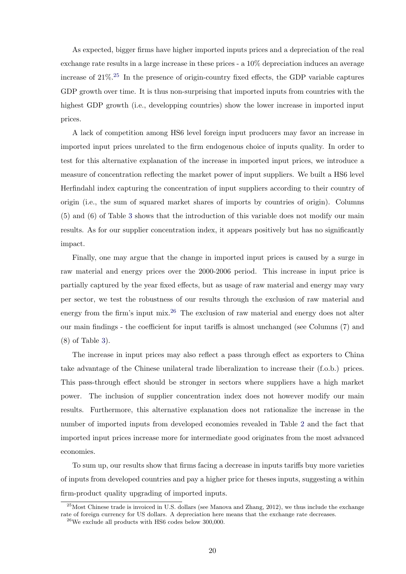As expected, bigger firms have higher imported inputs prices and a depreciation of the real exchange rate results in a large increase in these prices - a 10% depreciation induces an average increase of  $21\%$ <sup>25</sup> In the presence of origin-country fixed effects, the GDP variable captures GDP growth over time. It is thus non-surprising that imported inputs from countries with the highest GDP growth (i.e., developping countries) show the lower increase in imported input prices.

A lack of competition among HS6 level foreign input producers may favor an increase in imported input prices unrelated to the firm endogenous choice of inputs quality. In order to test for this alternative explanation of the increase in imported input prices, we introduce a measure of concentration reflecting the market power of input suppliers. We built a HS6 level Herfindahl index capturing the concentration of input suppliers according to their country of origin (i.e., the sum of squared market shares of imports by countries of origin). Columns (5) and (6) of Table 3 shows that the introduction of this variable does not modify our main results. As for our supplier concentration index, it appears positively but has no significantly impact.

Finally, one may argue that the change in imported input prices is caused by a surge in raw material and energy prices over the 2000-2006 period. This increase in input price is partially captured by the year fixed effects, but as usage of raw material and energy may vary per sector, we test the robustness of our results through the exclusion of raw material and energy from the firm's input  $\text{mix}^{26}$ . The exclusion of raw material and energy does not alter our main findings - the coefficient for input tariffs is almost unchanged (see Columns (7) and (8) of Table 3).

The increase in input prices may also reflect a pass through effect as exporters to China take advantage of the Chinese unilateral trade liberalization to increase their (f.o.b.) prices. This pass-through effect should be stronger in sectors where suppliers have a high market power. The inclusion of supplier concentration index does not however modify our main results. Furthermore, this alternative explanation does not rationalize the increase in the number of imported inputs from developed economies revealed in Table 2 and the fact that imported input prices increase more for intermediate good originates from the most advanced economies.

To sum up, our results show that firms facing a decrease in inputs tariffs buy more varieties of inputs from developed countries and pay a higher price for theses inputs, suggesting a within firm-product quality upgrading of imported inputs.

<sup>&</sup>lt;sup>25</sup>Most Chinese trade is invoiced in U.S. dollars (see Manova and Zhang, 2012), we thus include the exchange rate of foreign currency for US dollars. A depreciation here means that the exchange rate decreases.

 $^{26}\rm{We}$  exclude all products with HS6 codes below 300,000.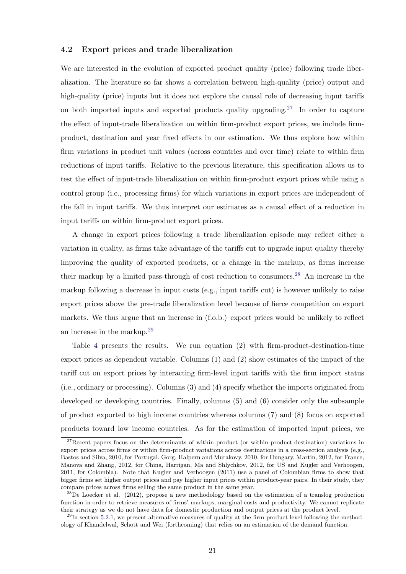#### 4.2 Export prices and trade liberalization

We are interested in the evolution of exported product quality (price) following trade liberalization. The literature so far shows a correlation between high-quality (price) output and high-quality (price) inputs but it does not explore the causal role of decreasing input tariffs on both imported inputs and exported products quality upgrading.<sup>27</sup> In order to capture the effect of input-trade liberalization on within firm-product export prices, we include firmproduct, destination and year fixed effects in our estimation. We thus explore how within firm variations in product unit values (across countries and over time) relate to within firm reductions of input tariffs. Relative to the previous literature, this specification allows us to test the effect of input-trade liberalization on within firm-product export prices while using a control group (i.e., processing firms) for which variations in export prices are independent of the fall in input tariffs. We thus interpret our estimates as a causal effect of a reduction in input tariffs on within firm-product export prices.

A change in export prices following a trade liberalization episode may reflect either a variation in quality, as firms take advantage of the tariffs cut to upgrade input quality thereby improving the quality of exported products, or a change in the markup, as firms increase their markup by a limited pass-through of cost reduction to consumers.<sup>28</sup> An increase in the markup following a decrease in input costs (e.g., input tariffs cut) is however unlikely to raise export prices above the pre-trade liberalization level because of fierce competition on export markets. We thus argue that an increase in (f.o.b.) export prices would be unlikely to reflect an increase in the markup.29

Table 4 presents the results. We run equation (2) with firm-product-destination-time export prices as dependent variable. Columns (1) and (2) show estimates of the impact of the tariff cut on export prices by interacting firm-level input tariffs with the firm import status (i.e., ordinary or processing). Columns (3) and (4) specify whether the imports originated from developed or developing countries. Finally, columns (5) and (6) consider only the subsample of product exported to high income countries whereas columns (7) and (8) focus on exported products toward low income countries. As for the estimation of imported input prices, we

 $27$ Recent papers focus on the determinants of within product (or within product-destination) variations in export prices across firms or within firm-product variations across destinations in a cross-section analysis (e.g., Bastos and Silva, 2010, for Portugal, Gorg, Halpern and Murakovy, 2010, for Hungary, Martin, 2012, for France, Manova and Zhang, 2012, for China, Harrigan, Ma and Shlychkov, 2012, for US and Kugler and Verhoogen, 2011, for Colombia). Note that Kugler and Verhoogen (2011) use a panel of Colombian firms to show that bigger firms set higher output prices and pay higher input prices within product-year pairs. In their study, they compare prices across firms selling the same product in the same year.

 $^{28}$ De Loecker et al. (2012), propose a new methodology based on the estimation of a translog production function in order to retrieve measures of firms' markups, marginal costs and productivity. We cannot replicate their strategy as we do not have data for domestic production and output prices at the product level.

 $^{29}$ In section 5.2.1, we present alternative measures of quality at the firm-product level following the methodology of Khandelwal, Schott and Wei (forthcoming) that relies on an estimation of the demand function.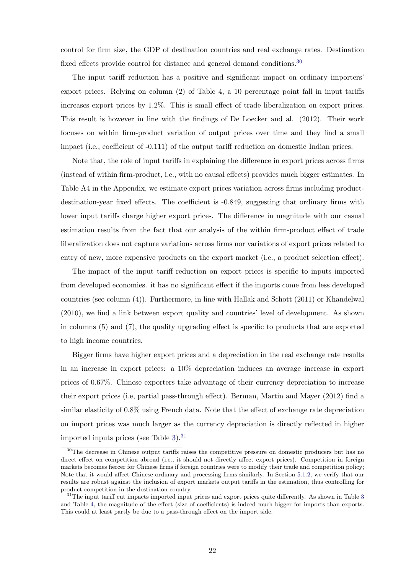control for firm size, the GDP of destination countries and real exchange rates. Destination fixed effects provide control for distance and general demand conditions.<sup>30</sup>

The input tariff reduction has a positive and significant impact on ordinary importers' export prices. Relying on column (2) of Table 4, a 10 percentage point fall in input tariffs increases export prices by 1.2%. This is small effect of trade liberalization on export prices. This result is however in line with the findings of De Loecker and al. (2012). Their work focuses on within firm-product variation of output prices over time and they find a small impact (i.e., coefficient of -0.111) of the output tariff reduction on domestic Indian prices.

Note that, the role of input tariffs in explaining the difference in export prices across firms (instead of within firm-product, i.e., with no causal effects) provides much bigger estimates. In Table A4 in the Appendix, we estimate export prices variation across firms including productdestination-year fixed effects. The coefficient is -0.849, suggesting that ordinary firms with lower input tariffs charge higher export prices. The difference in magnitude with our casual estimation results from the fact that our analysis of the within firm-product effect of trade liberalization does not capture variations across firms nor variations of export prices related to entry of new, more expensive products on the export market (i.e., a product selection effect).

The impact of the input tariff reduction on export prices is specific to inputs imported from developed economies. it has no significant effect if the imports come from less developed countries (see column (4)). Furthermore, in line with Hallak and Schott (2011) or Khandelwal (2010), we find a link between export quality and countries' level of development. As shown in columns (5) and (7), the quality upgrading effect is specific to products that are exported to high income countries.

Bigger firms have higher export prices and a depreciation in the real exchange rate results in an increase in export prices: a 10% depreciation induces an average increase in export prices of 0.67%. Chinese exporters take advantage of their currency depreciation to increase their export prices (i.e, partial pass-through effect). Berman, Martin and Mayer (2012) find a similar elasticity of 0.8% using French data. Note that the effect of exchange rate depreciation on import prices was much larger as the currency depreciation is directly reflected in higher imported inputs prices (see Table 3).31

<sup>&</sup>lt;sup>30</sup>The decrease in Chinese output tariffs raises the competitive pressure on domestic producers but has no direct effect on competition abroad (i.e., it should not directly affect export prices). Competition in foreign markets becomes fiercer for Chinese firms if foreign countries were to modify their trade and competition policy; Note that it would affect Chinese ordinary and processing firms similarly. In Section 5.1.2, we verify that our results are robust against the inclusion of export markets output tariffs in the estimation, thus controlling for product competition in the destination country.

 $31$ The input tariff cut impacts imported input prices and export prices quite differently. As shown in Table 3 and Table 4, the magnitude of the effect (size of coefficients) is indeed much bigger for imports than exports. This could at least partly be due to a pass-through effect on the import side.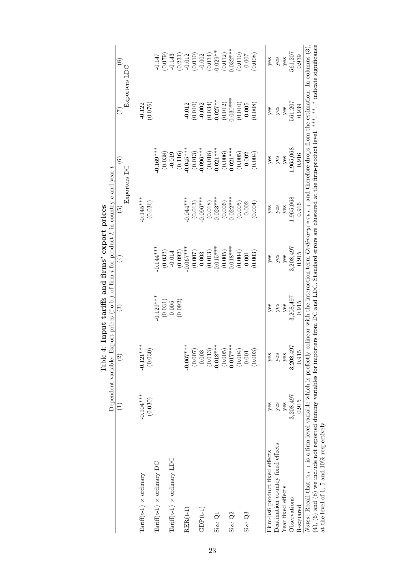|                                                                                                                                                                                                          |             | E. THPut<br><b>TAMT</b> | erri rin mino etiri mo |            | Dependent variable: Export prices (f.o.b.) of firm i for product k in country c and year t<br>EAPOI PIPER |                          |                   |                                |
|----------------------------------------------------------------------------------------------------------------------------------------------------------------------------------------------------------|-------------|-------------------------|------------------------|------------|-----------------------------------------------------------------------------------------------------------|--------------------------|-------------------|--------------------------------|
|                                                                                                                                                                                                          | Ξ           | $\widehat{2}$           | ව                      | $(\pm)$    | Exporters D<br>$\widetilde{\mathbb{E}}$                                                                   | $\widehat{\circ}$        | E                 | $\circledast$<br>Exporters LDC |
|                                                                                                                                                                                                          |             |                         |                        |            |                                                                                                           |                          |                   |                                |
| Tariff(t-1) $\times$ ordinary                                                                                                                                                                            | $-0.104***$ | $-0.121***$             |                        |            | $-0.145***$                                                                                               |                          | $-0.122$          |                                |
|                                                                                                                                                                                                          | (0.030)     | (0.030)                 |                        |            | (0.036)                                                                                                   |                          | (0.076)           |                                |
| $Tariff(t-1) \times$ ordinary DC                                                                                                                                                                         |             |                         | $-0.129***$            | $0.144***$ |                                                                                                           | $-0.169***$              |                   | $-0.147$                       |
|                                                                                                                                                                                                          |             |                         | (0.031)                | (0.032)    |                                                                                                           | (0.038)                  |                   | $(0.079)$<br>$-0.143$          |
| Tariff(t-1) $\times$ ordinary LDC                                                                                                                                                                        |             |                         | 0.005                  | $-0.014$   |                                                                                                           | $-0.019$                 |                   |                                |
|                                                                                                                                                                                                          |             |                         | (0.092)                | (0.092)    |                                                                                                           | (0.116)                  |                   |                                |
| $RER(t-1)$                                                                                                                                                                                               |             | $-0.067***$             |                        | $0.067***$ | $-0.044***$                                                                                               | $-0.045***$              | $-0.012$          | $(0.231)$<br>-0.012            |
|                                                                                                                                                                                                          |             | (0.007)                 |                        | (0.007)    | (0.013)                                                                                                   |                          | (0.010)           | (0.010)                        |
| $GDP(t-1)$                                                                                                                                                                                               |             | 0.003                   |                        | 0.003      | $-0.096***$                                                                                               | $(0.013)$<br>$-0.096***$ | $-0.002$          | $-0.002$                       |
|                                                                                                                                                                                                          |             | (0.013)                 |                        | (0.013)    | (0.018)                                                                                                   | (0.018)                  | (0.034)           | (0.034)                        |
| Size Q1                                                                                                                                                                                                  |             | $-0.018***$             |                        | $0.015***$ | $-0.023***$                                                                                               | $-0.021***$              | $-0.027**$        | $-0.029**$                     |
|                                                                                                                                                                                                          |             | (0.005)                 |                        | (0.005)    | (0.006)                                                                                                   | (0.006)                  | (0.012)           | (0.012)                        |
| Size Q2                                                                                                                                                                                                  |             | $-0.017$ ***            |                        | $0.018***$ | $-0.022***$                                                                                               | $-0.021***$              | $-0.030**$        | $-0.032***$                    |
|                                                                                                                                                                                                          |             | (0.004)                 |                        | (0.004)    | (0.005)                                                                                                   | (0.005)                  | (0.010)           | (0.010)                        |
| Size Q3                                                                                                                                                                                                  |             | 0.001                   |                        | 0.001      | $-0.002$                                                                                                  | $-0.002$                 | $-0.005$          | $-0.007$                       |
|                                                                                                                                                                                                          |             | (0.003)                 |                        | (0.003)    | (0.004)                                                                                                   | (0.004)                  | (0.008)           | (0.008)                        |
| Firm-hs6 product fixed effects                                                                                                                                                                           | yes         | yes                     | $y$ es                 | yes        | yes                                                                                                       | yes                      | yes               | yes                            |
| Deatination country fixed effects                                                                                                                                                                        | yes         | yes                     | $y$ es                 | yes        | yes                                                                                                       | yes                      | yes               | $y$ es                         |
| Year fixed effects                                                                                                                                                                                       | yes         | yes                     | $y$ es                 | $y$ es     | yes                                                                                                       | yes                      |                   |                                |
| Observations                                                                                                                                                                                             | 3,208,497   | 3,208,497               | 3,208,497              | 3,208,497  | 1,965,068                                                                                                 | 1,965,068                | $y$ es<br>561,207 | $\frac{y}{561,207}$            |
| R-squared                                                                                                                                                                                                | 0.915       | 0.915                   | 0.915                  | 0.915      | 0.916                                                                                                     | 0.916                    | 0.939             | 0.939                          |
| Notes: Recall that $\tau_{i,t-1}$ is a firm level variable which is prefectly colinear with the interaction term $Ordinary_i * \tau_{k,t-1}$ and therefore drops from the estimation. In columns $(3)$ , |             |                         |                        |            |                                                                                                           |                          |                   |                                |
| (4), (6) and (8) we include not reported dummy variables for importers from DC and LDC. Standard errors are clustered at the firm-product level. ***, **, * indicate significance                        |             |                         |                        |            |                                                                                                           |                          |                   |                                |
| at the level of 1, 5 and 10% respectively.                                                                                                                                                               |             |                         |                        |            |                                                                                                           |                          |                   |                                |

Table 4: Input tariffs and firms' export prices Table 4: Input tariffs and firms' export prices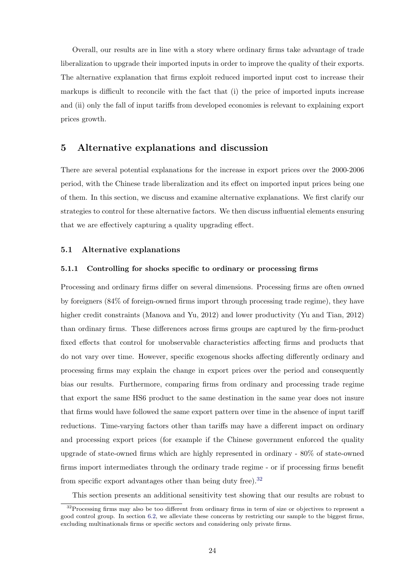Overall, our results are in line with a story where ordinary firms take advantage of trade liberalization to upgrade their imported inputs in order to improve the quality of their exports. The alternative explanation that firms exploit reduced imported input cost to increase their markups is difficult to reconcile with the fact that (i) the price of imported inputs increase and (ii) only the fall of input tariffs from developed economies is relevant to explaining export prices growth.

#### 5 Alternative explanations and discussion

There are several potential explanations for the increase in export prices over the 2000-2006 period, with the Chinese trade liberalization and its effect on imported input prices being one of them. In this section, we discuss and examine alternative explanations. We first clarify our strategies to control for these alternative factors. We then discuss influential elements ensuring that we are effectively capturing a quality upgrading effect.

#### 5.1 Alternative explanations

#### 5.1.1 Controlling for shocks specific to ordinary or processing firms

Processing and ordinary firms differ on several dimensions. Processing firms are often owned by foreigners (84% of foreign-owned firms import through processing trade regime), they have higher credit constraints (Manova and Yu, 2012) and lower productivity (Yu and Tian, 2012) than ordinary firms. These differences across firms groups are captured by the firm-product fixed effects that control for unobservable characteristics affecting firms and products that do not vary over time. However, specific exogenous shocks affecting differently ordinary and processing firms may explain the change in export prices over the period and consequently bias our results. Furthermore, comparing firms from ordinary and processing trade regime that export the same HS6 product to the same destination in the same year does not insure that firms would have followed the same export pattern over time in the absence of input tariff reductions. Time-varying factors other than tariffs may have a different impact on ordinary and processing export prices (for example if the Chinese government enforced the quality upgrade of state-owned firms which are highly represented in ordinary - 80% of state-owned firms import intermediates through the ordinary trade regime - or if processing firms benefit from specific export advantages other than being duty free).<sup>32</sup>

This section presents an additional sensitivity test showing that our results are robust to

<sup>&</sup>lt;sup>32</sup>Processing firms may also be too different from ordinary firms in term of size or objectives to represent a good control group. In section 6.2, we alleviate these concerns by restricting our sample to the biggest firms, excluding multinationals firms or specific sectors and considering only private firms.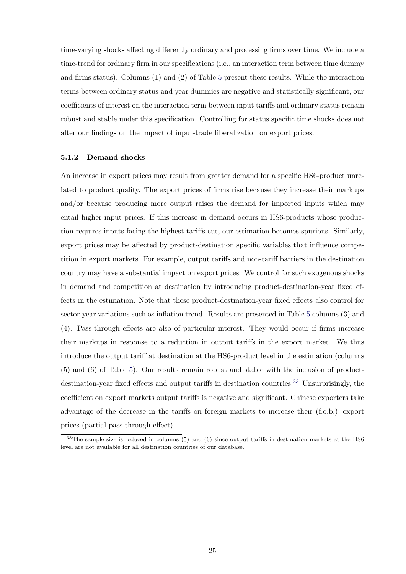time-varying shocks affecting differently ordinary and processing firms over time. We include a time-trend for ordinary firm in our specifications (i.e., an interaction term between time dummy and firms status). Columns (1) and (2) of Table 5 present these results. While the interaction terms between ordinary status and year dummies are negative and statistically significant, our coefficients of interest on the interaction term between input tariffs and ordinary status remain robust and stable under this specification. Controlling for status specific time shocks does not alter our findings on the impact of input-trade liberalization on export prices.

#### 5.1.2 Demand shocks

An increase in export prices may result from greater demand for a specific HS6-product unrelated to product quality. The export prices of firms rise because they increase their markups and/or because producing more output raises the demand for imported inputs which may entail higher input prices. If this increase in demand occurs in HS6-products whose production requires inputs facing the highest tariffs cut, our estimation becomes spurious. Similarly, export prices may be affected by product-destination specific variables that influence competition in export markets. For example, output tariffs and non-tariff barriers in the destination country may have a substantial impact on export prices. We control for such exogenous shocks in demand and competition at destination by introducing product-destination-year fixed effects in the estimation. Note that these product-destination-year fixed effects also control for sector-year variations such as inflation trend. Results are presented in Table 5 columns (3) and (4). Pass-through effects are also of particular interest. They would occur if firms increase their markups in response to a reduction in output tariffs in the export market. We thus introduce the output tariff at destination at the HS6-product level in the estimation (columns (5) and (6) of Table 5). Our results remain robust and stable with the inclusion of productdestination-year fixed effects and output tariffs in destination countries.<sup>33</sup> Unsurprisingly, the coefficient on export markets output tariffs is negative and significant. Chinese exporters take advantage of the decrease in the tariffs on foreign markets to increase their (f.o.b.) export prices (partial pass-through effect).

 $33$ The sample size is reduced in columns (5) and (6) since output tariffs in destination markets at the HS6 level are not available for all destination countries of our database.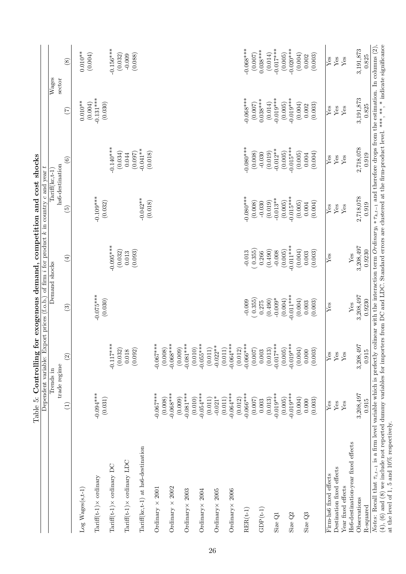|                                                    |                        | Trends in                                                  |                        | Demand shocks               |                                    | $Tairiff(kc, t-1)$          |                                   | $\overline{\text{W}}$ ages     |
|----------------------------------------------------|------------------------|------------------------------------------------------------|------------------------|-----------------------------|------------------------------------|-----------------------------|-----------------------------------|--------------------------------|
|                                                    | Ξ                      | $\widehat{2}$<br>trade regime                              | $\widehat{S}$          | $\left( \pm \right)$        | hs6-destination<br>$\widetilde{5}$ | $\widehat{6}$               | sector<br>$(\overline{z})$        | $\circled{s}$                  |
| $Log$ $Wages(s,t-1)$                               |                        |                                                            |                        |                             |                                    |                             | $0.010**$                         | $0.010**$                      |
| $Tarriff(t-1) \times \text{ordinary}$              | $-0.094***$<br>(0.031) |                                                            | $-0.075***$<br>(0.030) |                             | $-0.109***$<br>(0.032)             |                             | $-0.131***$<br>(0.004)<br>(0.030) | (0.004)                        |
| $Tariff(t-1) \times$ ordinary DC                   |                        | $-0.117***$                                                |                        | $-0.095***$                 |                                    | $-0.140***$                 |                                   | $-0.156***$                    |
| $Tariff(t-1) \times$ ordinary LDC                  |                        | $\begin{array}{c} (0.032) \\ 0.018 \\ (0.092) \end{array}$ |                        | (0.032)<br>(0.093)<br>0.013 |                                    | (0.034)<br>(0.097)<br>0.044 |                                   | (0.032)<br>$-0.009$<br>(0.088) |
| Tariff(kc,t-1) at hs6-destination                  |                        |                                                            |                        |                             | $-0.042**$<br>(0.018)              | $-0.041**$<br>(0.018)       |                                   |                                |
| Ordinary $\times 2001$                             | $-0.067***$            | $-0.067***$<br>(0.008)                                     |                        |                             |                                    |                             |                                   |                                |
| Ordinary $\times 2002$                             | $-0.068***$<br>(0.008) | $-0.068***$<br>(0.009)                                     |                        |                             |                                    |                             |                                   |                                |
| Ordinary × 2003                                    | $-0.081***$<br>(0.009) | $-0.081***$                                                |                        |                             |                                    |                             |                                   |                                |
| Ordinary $\times 2004$                             | $-0.054***$<br>(0.010) | $-0.055***$<br>(0.010)                                     |                        |                             |                                    |                             |                                   |                                |
| Ordinary $\times 2005$                             | $-0.021*$<br>(0.011)   | $-0.022**$<br>(0.011)                                      |                        |                             |                                    |                             |                                   |                                |
| Ordinary $\times 2006$                             | $-0.064***$<br>(0.011) | $-0.064***$<br>$\Box$<br>(0.011)                           |                        |                             |                                    |                             |                                   |                                |
| $RER(t-1)$                                         | $-0.066***$<br>(0.012) | $-0.066***$<br>(0.012)                                     | $-0.009$               | $-0.013$                    | $-0.080***$                        | $-0.080***$                 | $-0.068***$                       | $-0.068***$                    |
|                                                    | (0.007)                | (0.007)                                                    | (0.355)                | (0.355)                     | (0.008)                            | (0.008)                     | (0.007)                           | (0.007)                        |
| $GDP(t-1)$                                         | 0.003                  | 0.003                                                      | 0.275                  | 0.266                       | $-0.030$                           | $-0.030$                    | $0.038***$                        | $0.038***$                     |
| Size Q1                                            | $-0.019***$<br>(0.013) | $-0.017***$<br>(0.013)                                     | $-0.009*$<br>(0.490)   | (0.490)<br>$-0.008$         | $-0.013**$<br>(0.019)              | $-0.012**$<br>(0.019)       | $-0.019***$<br>(0.014)            | $-0.017***$<br>(0.014)         |
|                                                    | (0.005)                | (0.005)                                                    | (0.004)                | (0.005)                     | (0.005)                            | (0.005)                     | (0.005)                           | (0.005)                        |
| Size Q <sub>2</sub>                                | $-0.019***$            | $-0.019***$                                                | $-0.011***$            | $-0.011***$                 | $-0.015***$                        | $-0.015***$                 | $-0.019***$                       | $-0.020***$                    |
|                                                    | (0.004)                | (0.004)                                                    | (0.004)                | (0.004)                     | (0.005)                            | (0.005)                     | (0.004)                           | (0.004)                        |
| Size $Q3$                                          | (0.003)<br>0.000       | (0.003)<br>0.000                                           | (0.003)<br>0.003       | (0.003)<br>0.003            | (0.004)<br>0.004                   | (0.004)<br>0.004            | (0.003)<br>0.002                  | (0.003)<br>0.002               |
|                                                    |                        |                                                            |                        |                             |                                    |                             |                                   |                                |
| Firm-hs6 fixed effects                             | ${\rm Yes}$            | $\bar{Y}$ es                                               | $\bar{Y}$ es           | $\overline{\text{Yes}}$     | Yes                                | Yes                         | Yes                               | Yes                            |
| Destination fixed effects                          | ${\rm Yes}$            | $\rm Yes$                                                  |                        |                             | Yes                                | Yes                         | Yes                               | Yes                            |
| Year fixed effects                                 | Yes                    | ${\rm Yes}$                                                | Yes                    | Yes                         | Yes                                | Yes                         | ${\rm Yes}$                       | Yes                            |
| Hs6-destination-year fixed effects<br>Observations | 3,208,497              | 3,208,497                                                  | 3,208,497              | 3,208,497                   | 2,718,078                          | 2,718,078                   | 3,191,873                         | 3,191,873                      |
| R-squared                                          | 0.915                  | 0.915                                                      | 0.9230                 | 0.9230                      | 0.919                              | 0.919                       | 0.825                             | 0.825                          |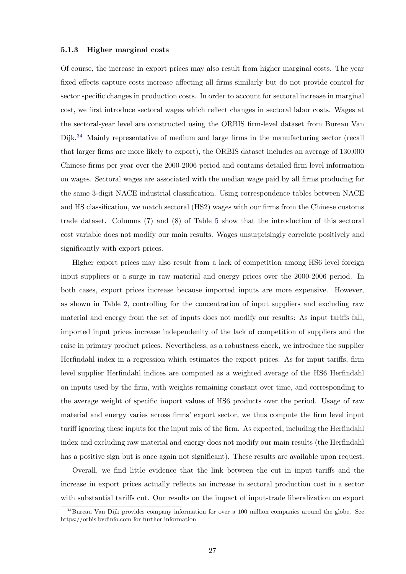#### 5.1.3 Higher marginal costs

Of course, the increase in export prices may also result from higher marginal costs. The year fixed effects capture costs increase affecting all firms similarly but do not provide control for sector specific changes in production costs. In order to account for sectoral increase in marginal cost, we first introduce sectoral wages which reflect changes in sectoral labor costs. Wages at the sectoral-year level are constructed using the ORBIS firm-level dataset from Bureau Van Dijk.<sup>34</sup> Mainly representative of medium and large firms in the manufacturing sector (recall that larger firms are more likely to export), the ORBIS dataset includes an average of 130,000 Chinese firms per year over the 2000-2006 period and contains detailed firm level information on wages. Sectoral wages are associated with the median wage paid by all firms producing for the same 3-digit NACE industrial classification. Using correspondence tables between NACE and HS classification, we match sectoral (HS2) wages with our firms from the Chinese customs trade dataset. Columns (7) and (8) of Table 5 show that the introduction of this sectoral cost variable does not modify our main results. Wages unsurprisingly correlate positively and significantly with export prices.

Higher export prices may also result from a lack of competition among HS6 level foreign input suppliers or a surge in raw material and energy prices over the 2000-2006 period. In both cases, export prices increase because imported inputs are more expensive. However, as shown in Table 2, controlling for the concentration of input suppliers and excluding raw material and energy from the set of inputs does not modify our results: As input tariffs fall, imported input prices increase independenlty of the lack of competition of suppliers and the raise in primary product prices. Nevertheless, as a robustness check, we introduce the supplier Herfindahl index in a regression which estimates the export prices. As for input tariffs, firm level supplier Herfindahl indices are computed as a weighted average of the HS6 Herfindahl on inputs used by the firm, with weights remaining constant over time, and corresponding to the average weight of specific import values of HS6 products over the period. Usage of raw material and energy varies across firms' export sector, we thus compute the firm level input tariff ignoring these inputs for the input mix of the firm. As expected, including the Herfindahl index and excluding raw material and energy does not modify our main results (the Herfindahl has a positive sign but is once again not significant). These results are available upon request.

Overall, we find little evidence that the link between the cut in input tariffs and the increase in export prices actually reflects an increase in sectoral production cost in a sector with substantial tariffs cut. Our results on the impact of input-trade liberalization on export

<sup>&</sup>lt;sup>34</sup>Bureau Van Dijk provides company information for over a 100 million companies around the globe. See https://orbis.bvdinfo.com for further information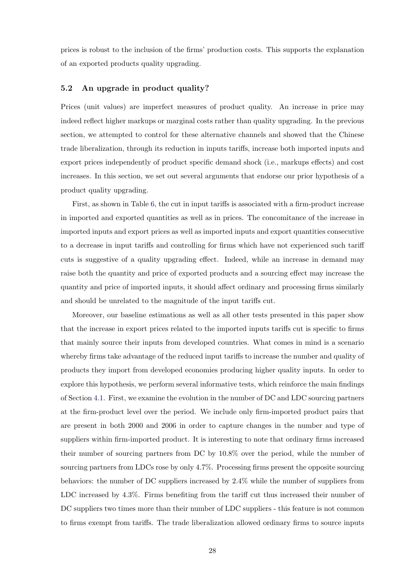prices is robust to the inclusion of the firms' production costs. This supports the explanation of an exported products quality upgrading.

#### 5.2 An upgrade in product quality?

Prices (unit values) are imperfect measures of product quality. An increase in price may indeed reflect higher markups or marginal costs rather than quality upgrading. In the previous section, we attempted to control for these alternative channels and showed that the Chinese trade liberalization, through its reduction in inputs tariffs, increase both imported inputs and export prices independently of product specific demand shock (i.e., markups effects) and cost increases. In this section, we set out several arguments that endorse our prior hypothesis of a product quality upgrading.

First, as shown in Table 6, the cut in input tariffs is associated with a firm-product increase in imported and exported quantities as well as in prices. The concomitance of the increase in imported inputs and export prices as well as imported inputs and export quantities consecutive to a decrease in input tariffs and controlling for firms which have not experienced such tariff cuts is suggestive of a quality upgrading effect. Indeed, while an increase in demand may raise both the quantity and price of exported products and a sourcing effect may increase the quantity and price of imported inputs, it should affect ordinary and processing firms similarly and should be unrelated to the magnitude of the input tariffs cut.

Moreover, our baseline estimations as well as all other tests presented in this paper show that the increase in export prices related to the imported inputs tariffs cut is specific to firms that mainly source their inputs from developed countries. What comes in mind is a scenario whereby firms take advantage of the reduced input tariffs to increase the number and quality of products they import from developed economies producing higher quality inputs. In order to explore this hypothesis, we perform several informative tests, which reinforce the main findings of Section 4.1. First, we examine the evolution in the number of DC and LDC sourcing partners at the firm-product level over the period. We include only firm-imported product pairs that are present in both 2000 and 2006 in order to capture changes in the number and type of suppliers within firm-imported product. It is interesting to note that ordinary firms increased their number of sourcing partners from DC by 10.8% over the period, while the number of sourcing partners from LDCs rose by only 4.7%. Processing firms present the opposite sourcing behaviors: the number of DC suppliers increased by 2.4% while the number of suppliers from LDC increased by 4.3%. Firms benefiting from the tariff cut thus increased their number of DC suppliers two times more than their number of LDC suppliers - this feature is not common to firms exempt from tariffs. The trade liberalization allowed ordinary firms to source inputs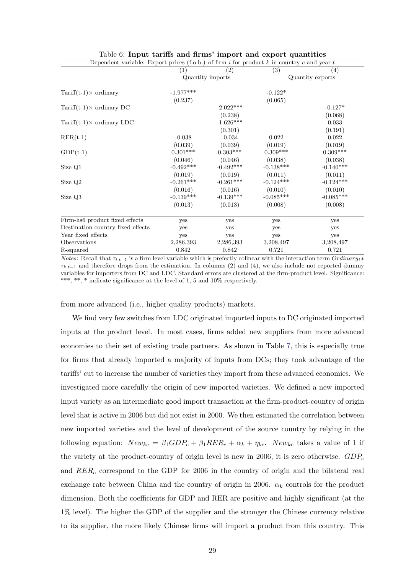| Dependent variable: Export prices (f.o.b.) of firm i for product $k$ in country c and year t |                   |                  |             |                   |
|----------------------------------------------------------------------------------------------|-------------------|------------------|-------------|-------------------|
|                                                                                              | $\left( 1\right)$ | (2)              | (3)         | $\left( 4\right)$ |
|                                                                                              |                   | Quantity imports |             | Quantity exports  |
| $Tariff(t-1) \times \text{ordinary}$                                                         | $-1.977***$       |                  | $-0.122*$   |                   |
|                                                                                              | (0.237)           |                  | (0.065)     |                   |
| Tariff $(t-1) \times$ ordinary DC                                                            |                   | $-2.022***$      |             | $-0.127*$         |
|                                                                                              |                   | (0.238)          |             | (0.068)           |
| Tariff $(t-1) \times$ ordinary LDC                                                           |                   | $-1.626***$      |             | 0.033             |
|                                                                                              |                   | (0.301)          |             | (0.191)           |
| $RER(t-1)$                                                                                   | $-0.038$          | $-0.034$         | 0.022       | 0.022             |
|                                                                                              | (0.039)           | (0.039)          | (0.019)     | (0.019)           |
| $GDP(t-1)$                                                                                   | $0.301***$        | $0.303***$       | $0.309***$  | $0.309***$        |
|                                                                                              | (0.046)           | (0.046)          | (0.038)     | (0.038)           |
| Size Q1                                                                                      | $-0.492***$       | $-0.492***$      | $-0.138***$ | $-0.140***$       |
|                                                                                              | (0.019)           | (0.019)          | (0.011)     | (0.011)           |
| Size Q <sub>2</sub>                                                                          | $-0.261***$       | $-0.261***$      | $-0.124***$ | $-0.124***$       |
|                                                                                              | (0.016)           | (0.016)          | (0.010)     | (0.010)           |
| Size Q3                                                                                      | $-0.139***$       | $-0.139***$      | $-0.085***$ | $-0.085***$       |
|                                                                                              | (0.013)           | (0.013)          | (0.008)     | (0.008)           |
| Firm-hs6 product fixed effects                                                               | yes               | yes              | yes         | yes               |
| Destination country fixed effects                                                            | yes               | yes              | yes         | yes               |
| Year fixed effects                                                                           | yes               | yes              | yes         | yes               |
| Observations                                                                                 | 2,286,393         | 2,286,393        | 3,208,497   | 3,208,497         |
| R-squared                                                                                    | 0.842             | 0.842            | 0.721       | 0.721             |

#### Table 6: Input tariffs and firms' import and export quantities

Notes: Recall that  $\tau_{i,t-1}$  is a firm level variable which is prefectly colinear with the interaction term Ordinary<sub>i</sub> ∗  $\tau_{k,t-1}$  and therefore drops from the estimation. In columns (2) and (4), we also include not reported dummy variables for importers from DC and LDC. Standard errors are clustered at the firm-product level. Significance: \*\*\*, \*\*, \* indicate significance at the level of 1, 5 and 10% respectively.

from more advanced (i.e., higher quality products) markets.

We find very few switches from LDC originated imported inputs to DC originated imported inputs at the product level. In most cases, firms added new suppliers from more advanced economies to their set of existing trade partners. As shown in Table 7, this is especially true for firms that already imported a majority of inputs from DCs; they took advantage of the tariffs' cut to increase the number of varieties they import from these advanced economies. We investigated more carefully the origin of new imported varieties. We defined a new imported input variety as an intermediate good import transaction at the firm-product-country of origin level that is active in 2006 but did not exist in 2000. We then estimated the correlation between new imported varieties and the level of development of the source country by relying in the following equation:  $New_{kc} = \beta_1 GDP_c + \beta_1 RER_c + \alpha_k + \eta_{kc}$ .  $New_{kc}$  takes a value of 1 if the variety at the product-country of origin level is new in 2006, it is zero otherwise.  $GDP_c$ and  $RER_c$  correspond to the GDP for 2006 in the country of origin and the bilateral real exchange rate between China and the country of origin in 2006.  $\alpha_k$  controls for the product dimension. Both the coefficients for GDP and RER are positive and highly significant (at the 1% level). The higher the GDP of the supplier and the stronger the Chinese currency relative to its supplier, the more likely Chinese firms will import a product from this country. This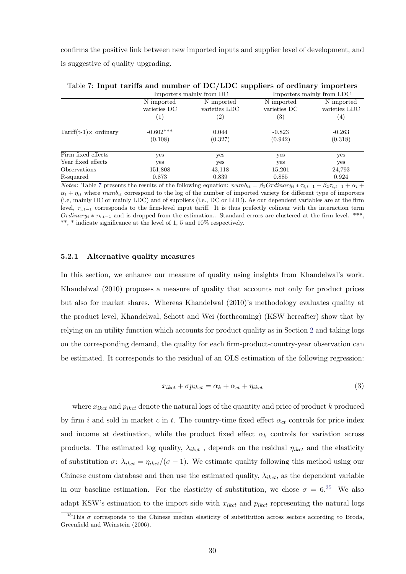confirms the positive link between new imported inputs and supplier level of development, and is suggestive of quality upgrading.

|                                      |                        | Importers mainly from DC |                     | Importers mainly from LDC |
|--------------------------------------|------------------------|--------------------------|---------------------|---------------------------|
|                                      | N imported             | N imported               | N imported          | N imported                |
|                                      | varieties DC           | varieties LDC            | varieties DC        | varieties LDC             |
|                                      | $\left 1\right\rangle$ | $^{\prime}2)$            | $\left( 3\right)$   | $\left( 4\right)$         |
| $Tariff(t-1) \times \text{ordinary}$ | $-0.602***$<br>(0.108) | 0.044<br>(0.327)         | $-0.823$<br>(0.942) | $-0.263$<br>(0.318)       |
| Firm fixed effects                   | yes                    | yes                      | yes                 | yes                       |
| Year fixed effects                   | yes                    | yes                      | yes                 | yes                       |
| <i>Observations</i>                  | 151,808                | 43,118                   | 15,201              | 24,793                    |
| R-squared                            | 0.873                  | 0.839                    | 0.885               | 0.924                     |

Table 7: Input tariffs and number of DC/LDC suppliers of ordinary importers

*Notes*: Table 7 presents the results of the following equation:  $numbi_t = \beta_1Ordinary_i * \tau_{i,t-1} + \beta_2\tau_{i,t-1} + \alpha_i +$  $\alpha_t + \eta_{it}$  where numb<sub>it</sub> correspond to the log of the number of imported variety for different type of importers (i.e, mainly DC or mainly LDC) and of suppliers (i.e., DC or LDC). As our dependent variables are at the firm level,  $\tau_{i,t-1}$  corresponds to the firm-level input tariff. It is thus prefectly colinear with the interaction term Ordinary<sub>i</sub> \*  $\tau_{k,t-1}$  and is dropped from the estimation.. Standard errors are clustered at the firm level. \*\*\*, \*\*, \* indicate significance at the level of 1, 5 and 10% respectively.

#### 5.2.1 Alternative quality measures

In this section, we enhance our measure of quality using insights from Khandelwal's work. Khandelwal (2010) proposes a measure of quality that accounts not only for product prices but also for market shares. Whereas Khandelwal (2010)'s methodology evaluates quality at the product level, Khandelwal, Schott and Wei (forthcoming) (KSW hereafter) show that by relying on an utility function which accounts for product quality as in Section 2 and taking logs on the corresponding demand, the quality for each firm-product-country-year observation can be estimated. It corresponds to the residual of an OLS estimation of the following regression:

$$
x_{ikct} + \sigma p_{ikct} = \alpha_k + \alpha_{ct} + \eta_{ikct}
$$
\n<sup>(3)</sup>

where  $x_{ikct}$  and  $p_{ikct}$  denote the natural logs of the quantity and price of product k produced by firm i and sold in market c in t. The country-time fixed effect  $\alpha_{ct}$  controls for price index and income at destination, while the product fixed effect  $\alpha_k$  controls for variation across products. The estimated log quality,  $\lambda_{ikct}$ , depends on the residual  $\eta_{ikct}$  and the elasticity of substitution  $\sigma: \lambda_{ikct} = \eta_{ikct}/(\sigma - 1)$ . We estimate quality following this method using our Chinese custom database and then use the estimated quality,  $\lambda_{ikct}$ , as the dependent variable in our baseline estimation. For the elasticity of substitution, we chose  $\sigma = 6^{35}$  We also adapt KSW's estimation to the import side with  $x_{ikct}$  and  $p_{ikct}$  representing the natural logs

<sup>&</sup>lt;sup>35</sup>This  $\sigma$  corresponds to the Chinese median elasticity of substitution across sectors according to Broda, Greenfield and Weinstein (2006).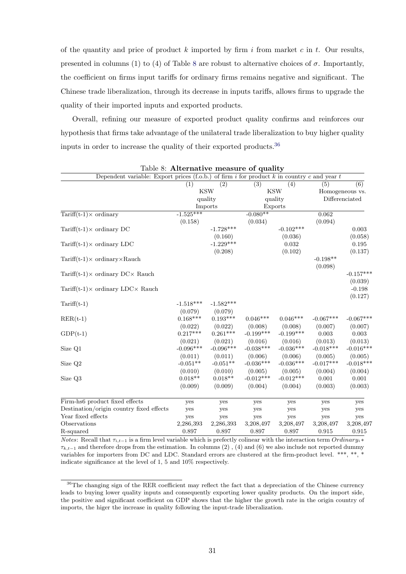of the quantity and price of product k imported by firm i from market c in t. Our results, presented in columns (1) to (4) of Table 8 are robust to alternative choices of  $\sigma$ . Importantly, the coefficient on firms input tariffs for ordinary firms remains negative and significant. The Chinese trade liberalization, through its decrease in inputs tariffs, allows firms to upgrade the quality of their imported inputs and exported products.

Overall, refining our measure of exported product quality confirms and reinforces our hypothesis that firms take advantage of the unilateral trade liberalization to buy higher quality inputs in order to increase the quality of their exported products.<sup>36</sup>

| Dependent variable: Export prices (f.o.b.) of firm i for product k in country c and year t |             |             |             |             |             |                 |
|--------------------------------------------------------------------------------------------|-------------|-------------|-------------|-------------|-------------|-----------------|
|                                                                                            | (1)         | (2)         | (3)         | (4)         | (5)         | (6)             |
|                                                                                            |             | <b>KSW</b>  |             | <b>KSW</b>  |             | Homogeneous vs. |
|                                                                                            |             | quality     |             | quality     |             | Differenciated  |
|                                                                                            |             | Imports     |             | Exports     |             |                 |
| Tariff $(t-1) \times$ ordinary                                                             | $-1.525***$ |             | $-0.080**$  |             | 0.062       |                 |
|                                                                                            | (0.158)     |             | (0.034)     |             | (0.094)     |                 |
| Tariff $(t-1) \times$ ordinary DC                                                          |             | $-1.728***$ |             | $-0.102***$ |             | 0.003           |
|                                                                                            |             | (0.160)     |             | (0.036)     |             | (0.058)         |
| Tariff $(t-1) \times$ ordinary LDC                                                         |             | $-1.229***$ |             | 0.032       |             | 0.195           |
|                                                                                            |             | (0.208)     |             | (0.102)     |             | (0.137)         |
| $Tariff(t-1) \times \text{ordinary} \times \text{Rauch}$                                   |             |             |             |             | $-0.198**$  |                 |
|                                                                                            |             |             |             |             | (0.098)     |                 |
| Tariff(t-1) $\times$ ordinary DC $\times$ Rauch                                            |             |             |             |             |             | $-0.157***$     |
|                                                                                            |             |             |             |             |             | (0.039)         |
| Tariff(t-1) $\times$ ordinary LDC $\times$ Rauch                                           |             |             |             |             |             | $-0.198$        |
|                                                                                            |             |             |             |             |             | (0.127)         |
| $Tariff(t-1)$                                                                              | $-1.518***$ | $-1.582***$ |             |             |             |                 |
|                                                                                            | (0.079)     | (0.079)     |             |             |             |                 |
| $RER(t-1)$                                                                                 | $0.168***$  | $0.193***$  | $0.046***$  | $0.046***$  | $-0.067***$ | $-0.067***$     |
|                                                                                            | (0.022)     | (0.022)     | (0.008)     | (0.008)     | (0.007)     | (0.007)         |
| $GDP(t-1)$                                                                                 | $0.217***$  | $0.261***$  | $-0.199***$ | $-0.199***$ | 0.003       | 0.003           |
|                                                                                            | (0.021)     | (0.021)     | (0.016)     | (0.016)     | (0.013)     | (0.013)         |
| Size Q1                                                                                    | $-0.096***$ | $-0.096***$ | $-0.038***$ | $-0.036***$ | $-0.018***$ | $-0.016***$     |
|                                                                                            | (0.011)     | (0.011)     | (0.006)     | (0.006)     | (0.005)     | (0.005)         |
| Size Q2                                                                                    | $-0.051**$  | $-0.051**$  | $-0.036***$ | $-0.036***$ | $-0.017***$ | $-0.018***$     |
|                                                                                            | (0.010)     | (0.010)     | (0.005)     | (0.005)     | (0.004)     | (0.004)         |
| Size Q3                                                                                    | $0.018**$   | $0.018**$   | $-0.012***$ | $-0.012***$ | 0.001       | 0.001           |
|                                                                                            | (0.009)     | (0.009)     | (0.004)     | (0.004)     | (0.003)     | (0.003)         |
| Firm-hs6 product fixed effects                                                             | yes         | yes         | yes         | yes         | yes         | yes             |
| Destination/origin country fixed effects                                                   | yes         | yes         | yes         | yes         | yes         | yes             |
| Year fixed effects                                                                         | yes         | yes         | yes         | yes         | yes         | yes             |
| Observations                                                                               | 2,286,393   | 2,286,393   | 3,208,497   | 3,208,497   | 3,208,497   | 3,208,497       |
| R-squared                                                                                  | 0.897       | 0.897       | 0.897       | 0.897       | 0.915       | 0.915           |

Table 8: Alternative measure of quality

*Notes*: Recall that  $\tau_{i,t-1}$  is a firm level variable which is prefectly colinear with the interaction term Ordinary<sub>i</sub> ∗  $\tau_{k,t-1}$  and therefore drops from the estimation. In columns (2), (4) and (6) we also include not reported dummy variables for importers from DC and LDC. Standard errors are clustered at the firm-product level. \*\*\*, \*\*, \* indicate significance at the level of 1, 5 and 10% respectively.

<sup>&</sup>lt;sup>36</sup>The changing sign of the RER coefficient may reflect the fact that a depreciation of the Chinese currency leads to buying lower quality inputs and consequently exporting lower quality products. On the import side, the positive and significant coefficient on GDP shows that the higher the growth rate in the origin country of imports, the higer the increase in quality following the input-trade liberalization.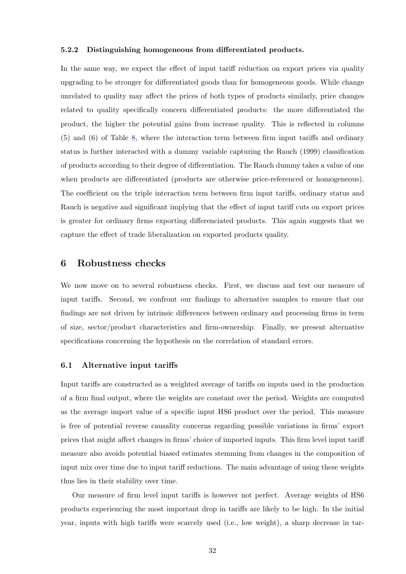#### 5.2.2 Distinguishing homogeneous from differentiated products.

In the same way, we expect the effect of input tariff reduction on export prices via quality upgrading to be stronger for differentiated goods than for homogeneous goods. While change unrelated to quality may affect the prices of both types of products similarly, price changes related to quality specifically concern differentiated products: the more differentiated the product, the higher the potential gains from increase quality. This is reflected in columns (5) and (6) of Table 8, where the interaction term between firm input tariffs and ordinary status is further interacted with a dummy variable capturing the Rauch (1999) classification of products according to their degree of differentiation. The Rauch dummy takes a value of one when products are differentiated (products are otherwise price-referenced or homogeneous). The coefficient on the triple interaction term between firm input tariffs, ordinary status and Rauch is negative and significant implying that the effect of input tariff cuts on export prices is greater for ordinary firms exporting differenciated products. This again suggests that we capture the effect of trade liberalization on exported products quality.

#### 6 Robustness checks

We now move on to several robustness checks. First, we discuss and test our measure of input tariffs. Second, we confront our findings to alternative samples to ensure that our findings are not driven by intrinsic differences between ordinary and processing firms in term of size, sector/product characteristics and firm-ownership. Finally, we present alternative specifications concerning the hypothesis on the correlation of standard errors.

#### 6.1 Alternative input tariffs

Input tariffs are constructed as a weighted average of tariffs on inputs used in the production of a firm final output, where the weights are constant over the period. Weights are computed as the average import value of a specific input HS6 product over the period. This measure is free of potential reverse causality concerns regarding possible variations in firms' export prices that might affect changes in firms' choice of imported inputs. This firm level input tariff measure also avoids potential biased estimates stemming from changes in the composition of input mix over time due to input tariff reductions. The main advantage of using these weights thus lies in their stability over time.

Our measure of firm level input tariffs is however not perfect. Average weights of HS6 products experiencing the most important drop in tariffs are likely to be high. In the initial year, inputs with high tariffs were scarcely used (i.e., low weight), a sharp decrease in tar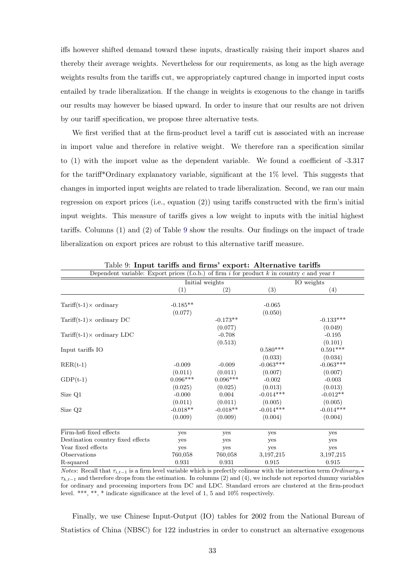iffs however shifted demand toward these inputs, drastically raising their import shares and thereby their average weights. Nevertheless for our requirements, as long as the high average weights results from the tariffs cut, we appropriately captured change in imported input costs entailed by trade liberalization. If the change in weights is exogenous to the change in tariffs our results may however be biased upward. In order to insure that our results are not driven by our tariff specification, we propose three alternative tests.

We first verified that at the firm-product level a tariff cut is associated with an increase in import value and therefore in relative weight. We therefore ran a specification similar to (1) with the import value as the dependent variable. We found a coefficient of -3.317 for the tariff\*Ordinary explanatory variable, significant at the 1% level. This suggests that changes in imported input weights are related to trade liberalization. Second, we ran our main regression on export prices (i.e., equation (2)) using tariffs constructed with the firm's initial input weights. This measure of tariffs gives a low weight to inputs with the initial highest tariffs. Columns (1) and (2) of Table 9 show the results. Our findings on the impact of trade liberalization on export prices are robust to this alternative tariff measure.

| Dependent variable: Export prices (f.o.b.) of firm i for product k in country c and year t |            |                   |             |                 |
|--------------------------------------------------------------------------------------------|------------|-------------------|-------------|-----------------|
|                                                                                            |            | Initial weights   |             | IO weights      |
|                                                                                            | (1)        | $\left( 2\right)$ | (3)         | (4)             |
| Tariff $(t-1) \times$ ordinary                                                             | $-0.185**$ |                   | $-0.065$    |                 |
|                                                                                            | (0.077)    |                   | (0.050)     |                 |
| Tariff $(t-1) \times$ ordinary DC                                                          |            | $-0.173**$        |             | $-0.133***$     |
|                                                                                            |            | (0.077)           |             | (0.049)         |
| Tariff $(t-1) \times$ ordinary LDC                                                         |            | $-0.708$          |             | $-0.195$        |
|                                                                                            |            | (0.513)           |             | (0.101)         |
| Input tariffs IO                                                                           |            |                   | $0.580***$  | $0.591^{***}\,$ |
|                                                                                            |            |                   | (0.033)     | (0.034)         |
| $RER(t-1)$                                                                                 | $-0.009$   | $-0.009$          | $-0.063***$ | $-0.063***$     |
|                                                                                            | (0.011)    | (0.011)           | (0.007)     | (0.007)         |
| $GDP(t-1)$                                                                                 | $0.096***$ | $0.096***$        | $-0.002$    | $-0.003$        |
|                                                                                            | (0.025)    | (0.025)           | (0.013)     | (0.013)         |
| Size Q1                                                                                    | $-0.000$   | 0.004             | $-0.014***$ | $-0.012**$      |
|                                                                                            | (0.011)    | (0.011)           | (0.005)     | (0.005)         |
| Size Q <sub>2</sub>                                                                        | $-0.018**$ | $-0.018**$        | $-0.014***$ | $-0.014***$     |
|                                                                                            | (0.009)    | (0.009)           | (0.004)     | (0.004)         |
| Firm-hs6 fixed effects                                                                     | yes        | yes               | yes         | yes             |
| Destination country fixed effects                                                          | yes        | yes               | yes         | yes             |
| Year fixed effects                                                                         | yes        | yes               | yes         | yes             |
| Observations                                                                               | 760,058    | 760,058           | 3,197,215   | 3,197,215       |
| R-squared                                                                                  | 0.931      | 0.931             | 0.915       | 0.915           |

Table 9: Input tariffs and firms' export: Alternative tariffs

*Notes*: Recall that  $\tau_{i,t-1}$  is a firm level variable which is prefectly colinear with the interaction term Ordinary<sub>i</sub> ∗  $\tau_{k,t-1}$  and therefore drops from the estimation. In columns (2) and (4), we include not reported dummy variables for ordinary and processing importers from DC and LDC. Standard errors are clustered at the firm-product level. \*\*\*, \*\*, \* indicate significance at the level of 1, 5 and 10% respectively.

Finally, we use Chinese Input-Output (IO) tables for 2002 from the National Bureau of Statistics of China (NBSC) for 122 industries in order to construct an alternative exogenous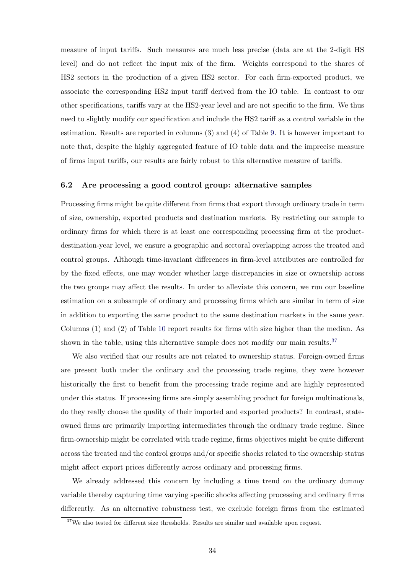measure of input tariffs. Such measures are much less precise (data are at the 2-digit HS level) and do not reflect the input mix of the firm. Weights correspond to the shares of HS2 sectors in the production of a given HS2 sector. For each firm-exported product, we associate the corresponding HS2 input tariff derived from the IO table. In contrast to our other specifications, tariffs vary at the HS2-year level and are not specific to the firm. We thus need to slightly modify our specification and include the HS2 tariff as a control variable in the estimation. Results are reported in columns (3) and (4) of Table 9. It is however important to note that, despite the highly aggregated feature of IO table data and the imprecise measure of firms input tariffs, our results are fairly robust to this alternative measure of tariffs.

#### 6.2 Are processing a good control group: alternative samples

Processing firms might be quite different from firms that export through ordinary trade in term of size, ownership, exported products and destination markets. By restricting our sample to ordinary firms for which there is at least one corresponding processing firm at the productdestination-year level, we ensure a geographic and sectoral overlapping across the treated and control groups. Although time-invariant differences in firm-level attributes are controlled for by the fixed effects, one may wonder whether large discrepancies in size or ownership across the two groups may affect the results. In order to alleviate this concern, we run our baseline estimation on a subsample of ordinary and processing firms which are similar in term of size in addition to exporting the same product to the same destination markets in the same year. Columns (1) and (2) of Table 10 report results for firms with size higher than the median. As shown in the table, using this alternative sample does not modify our main results.<sup>37</sup>

We also verified that our results are not related to ownership status. Foreign-owned firms are present both under the ordinary and the processing trade regime, they were however historically the first to benefit from the processing trade regime and are highly represented under this status. If processing firms are simply assembling product for foreign multinationals, do they really choose the quality of their imported and exported products? In contrast, stateowned firms are primarily importing intermediates through the ordinary trade regime. Since firm-ownership might be correlated with trade regime, firms objectives might be quite different across the treated and the control groups and/or specific shocks related to the ownership status might affect export prices differently across ordinary and processing firms.

We already addressed this concern by including a time trend on the ordinary dummy variable thereby capturing time varying specific shocks affecting processing and ordinary firms differently. As an alternative robustness test, we exclude foreign firms from the estimated

<sup>&</sup>lt;sup>37</sup>We also tested for different size thresholds. Results are similar and available upon request.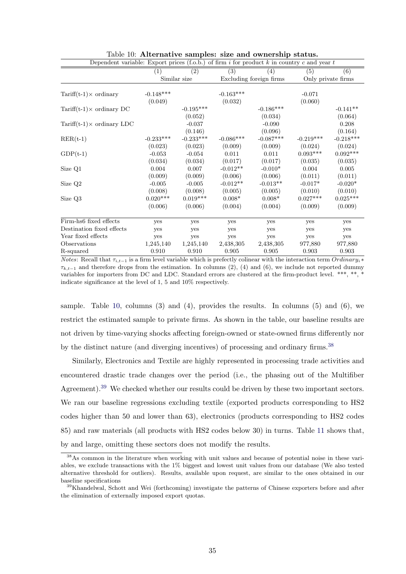| Dependent variable: Export prices (f.o.b.) of firm i for product $k$ in country c and year t |             |              |                  |                         |             |                    |
|----------------------------------------------------------------------------------------------|-------------|--------------|------------------|-------------------------|-------------|--------------------|
|                                                                                              | (1)         | (2)          | $\overline{(3)}$ | $\left( 4\right)$       | (5)         | (6)                |
|                                                                                              |             | Similar size |                  | Excluding foreign firms |             | Only private firms |
|                                                                                              |             |              |                  |                         |             |                    |
| $Tariff(t-1) \times \text{ordinary}$                                                         | $-0.148***$ |              | $-0.163***$      |                         | $-0.071$    |                    |
|                                                                                              | (0.049)     |              | (0.032)          |                         | (0.060)     |                    |
| Tariff $(t-1) \times$ ordinary DC                                                            |             | $-0.195***$  |                  | $-0.186***$             |             | $-0.141**$         |
|                                                                                              |             | (0.052)      |                  | (0.034)                 |             | (0.064)            |
| $Tariff(t-1) \times \text{ordinary LDC}$                                                     |             | $-0.037$     |                  | $-0.090$                |             | 0.208              |
|                                                                                              |             | (0.146)      |                  | (0.096)                 |             | (0.164)            |
| $RER(t-1)$                                                                                   | $-0.233***$ | $-0.233***$  | $-0.086***$      | $-0.087***$             | $-0.219***$ | $-0.218***$        |
|                                                                                              | (0.023)     | (0.023)      | (0.009)          | (0.009)                 | (0.024)     | (0.024)            |
| $GDP(t-1)$                                                                                   | $-0.053$    | $-0.054$     | 0.011            | 0.011                   | $0.093***$  | $0.092***$         |
|                                                                                              | (0.034)     | (0.034)      | (0.017)          | (0.017)                 | (0.035)     | (0.035)            |
| Size Q1                                                                                      | 0.004       | 0.007        | $-0.012**$       | $-0.010*$               | 0.004       | 0.005              |
|                                                                                              | (0.009)     | (0.009)      | (0.006)          | (0.006)                 | (0.011)     | (0.011)            |
| Size Q2                                                                                      | $-0.005$    | $-0.005$     | $-0.012**$       | $-0.013**$              | $-0.017*$   | $-0.020*$          |
|                                                                                              | (0.008)     | (0.008)      | (0.005)          | (0.005)                 | (0.010)     | (0.010)            |
| Size Q3                                                                                      | $0.020***$  | $0.019***$   | $0.008*$         | $0.008*$                | $0.027***$  | $0.025***$         |
|                                                                                              | (0.006)     | (0.006)      | (0.004)          | (0.004)                 | (0.009)     | (0.009)            |
| Firm-hs6 fixed effects                                                                       | yes         | yes          | yes              | yes                     | yes         | yes                |
| Destination fixed effects                                                                    | yes         | yes          | yes              | yes                     | yes         | yes                |
| Year fixed effects                                                                           | yes         | yes          | yes              | yes                     | yes         | yes                |
| Observations                                                                                 | 1,245,140   | 1,245,140    | 2,438,305        | 2,438,305               | 977,880     | 977,880            |
| R-squared                                                                                    | 0.910       | 0.910        | 0.905            | 0.905                   | 0.903       | 0.903              |

Table 10: Alternative samples: size and ownership status.

*Notes*: Recall that  $\tau_{i,t-1}$  is a firm level variable which is prefectly colinear with the interaction term Ordinary<sub>i</sub> ∗  $\tau_{k,t-1}$  and therefore drops from the estimation. In columns (2), (4) and (6), we include not reported dummy variables for importers from DC and LDC. Standard errors are clustered at the firm-product level. \*\*\*, \*\*, \* indicate significance at the level of 1, 5 and 10% respectively.

sample. Table 10, columns  $(3)$  and  $(4)$ , provides the results. In columns  $(5)$  and  $(6)$ , we restrict the estimated sample to private firms. As shown in the table, our baseline results are not driven by time-varying shocks affecting foreign-owned or state-owned firms differently nor by the distinct nature (and diverging incentives) of processing and ordinary firms.<sup>38</sup>

Similarly, Electronics and Textile are highly represented in processing trade activities and encountered drastic trade changes over the period (i.e., the phasing out of the Multifiber Agreement).<sup>39</sup> We checked whether our results could be driven by these two important sectors. We ran our baseline regressions excluding textile (exported products corresponding to HS2 codes higher than 50 and lower than 63), electronics (products corresponding to HS2 codes 85) and raw materials (all products with HS2 codes below 30) in turns. Table 11 shows that, by and large, omitting these sectors does not modify the results.

<sup>38</sup>As common in the literature when working with unit values and because of potential noise in these variables, we exclude transactions with the 1% biggest and lowest unit values from our database (We also tested alternative threshold for outliers). Results, available upon request, are similar to the ones obtained in our baseline specifications

<sup>&</sup>lt;sup>39</sup>Khandelwal, Schott and Wei (forthcoming) investigate the patterns of Chinese exporters before and after the elimination of externally imposed export quotas.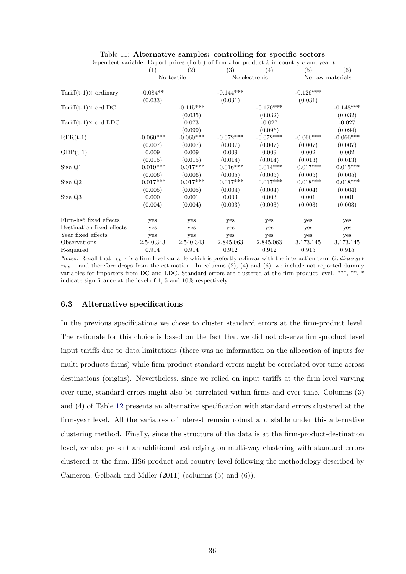| Dependent variable: Export prices (f.o.b.) of firm i for product k in country c and year t |             |                   |                  |               |             |                  |
|--------------------------------------------------------------------------------------------|-------------|-------------------|------------------|---------------|-------------|------------------|
|                                                                                            | (1)         | $\left( 2\right)$ | $\overline{(3)}$ | (4)           | (5)         | (6)              |
|                                                                                            |             | No textile        |                  | No electronic |             | No raw materials |
|                                                                                            |             |                   |                  |               |             |                  |
| Tariff $(t-1) \times$ ordinary                                                             | $-0.084**$  |                   | $-0.144***$      |               | $-0.126***$ |                  |
|                                                                                            | (0.033)     |                   | (0.031)          |               | (0.031)     |                  |
| Tariff $(t-1) \times$ ord DC                                                               |             | $-0.115***$       |                  | $-0.170***$   |             | $-0.148***$      |
|                                                                                            |             | (0.035)           |                  | (0.032)       |             | (0.032)          |
| Tariff $(t-1) \times$ ord LDC                                                              |             | 0.073             |                  | $-0.027$      |             | $-0.027$         |
|                                                                                            |             | (0.099)           |                  | (0.096)       |             | (0.094)          |
| $RER(t-1)$                                                                                 | $-0.060***$ | $-0.060***$       | $-0.072***$      | $-0.072***$   | $-0.066***$ | $-0.066***$      |
|                                                                                            | (0.007)     | (0.007)           | (0.007)          | (0.007)       | (0.007)     | (0.007)          |
| $GDP(t-1)$                                                                                 | 0.009       | 0.009             | 0.009            | 0.009         | 0.002       | 0.002            |
|                                                                                            | (0.015)     | (0.015)           | (0.014)          | (0.014)       | (0.013)     | (0.013)          |
| Size Q1                                                                                    | $-0.019***$ | $-0.017***$       | $-0.016***$      | $-0.014***$   | $-0.017***$ | $-0.015***$      |
|                                                                                            | (0.006)     | (0.006)           | (0.005)          | (0.005)       | (0.005)     | (0.005)          |
| Size Q2                                                                                    | $-0.017***$ | $-0.017***$       | $-0.017***$      | $-0.017***$   | $-0.018***$ | $-0.018***$      |
|                                                                                            | (0.005)     | (0.005)           | (0.004)          | (0.004)       | (0.004)     | (0.004)          |
| Size Q3                                                                                    | 0.000       | 0.001             | 0.003            | 0.003         | 0.001       | 0.001            |
|                                                                                            | (0.004)     | (0.004)           | (0.003)          | (0.003)       | (0.003)     | (0.003)          |
| Firm-hs6 fixed effects                                                                     | yes         | yes               | yes              | yes           | yes         | yes              |
| Destination fixed effects                                                                  | yes         | yes               | yes              | yes           | yes         | yes              |
| Year fixed effects                                                                         | yes         | yes               | yes              | yes           | yes         | yes              |
| Observations                                                                               | 2,540,343   | 2,540,343         | 2,845,063        | 2,845,063     | 3,173,145   | 3,173,145        |
| R-squared                                                                                  | 0.914       | 0.914             | 0.912            | 0.912         | 0.915       | 0.915            |

| Table 11: Alternative samples: controlling for specific sectors |  |  |  |
|-----------------------------------------------------------------|--|--|--|
|                                                                 |  |  |  |

*Notes*: Recall that  $\tau_{i,t-1}$  is a firm level variable which is prefectly colinear with the interaction term Ordinary<sub>i</sub> ∗  $\tau_{k,t-1}$  and therefore drops from the estimation. In columns (2), (4) and (6), we include not reported dummy variables for importers from DC and LDC. Standard errors are clustered at the firm-product level. \*\*\*, \*\*, \* indicate significance at the level of 1, 5 and 10% respectively.

#### 6.3 Alternative specifications

In the previous specifications we chose to cluster standard errors at the firm-product level. The rationale for this choice is based on the fact that we did not observe firm-product level input tariffs due to data limitations (there was no information on the allocation of inputs for multi-products firms) while firm-product standard errors might be correlated over time across destinations (origins). Nevertheless, since we relied on input tariffs at the firm level varying over time, standard errors might also be correlated within firms and over time. Columns (3) and (4) of Table 12 presents an alternative specification with standard errors clustered at the firm-year level. All the variables of interest remain robust and stable under this alternative clustering method. Finally, since the structure of the data is at the firm-product-destination level, we also present an additional test relying on multi-way clustering with standard errors clustered at the firm, HS6 product and country level following the methodology described by Cameron, Gelbach and Miller (2011) (columns (5) and (6)).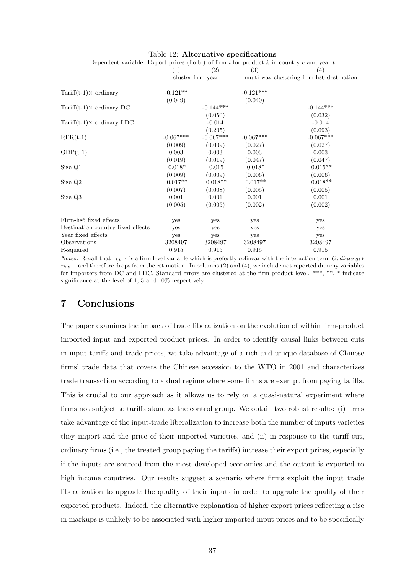| Dependent variable: Export prices (f.o.b.) of firm i for product k in country c and year t |             |                   |             |                                           |
|--------------------------------------------------------------------------------------------|-------------|-------------------|-------------|-------------------------------------------|
|                                                                                            | (1)         | (2)               | (3)         | (4)                                       |
|                                                                                            |             | cluster firm-year |             | multi-way clustering firm-hs6-destination |
|                                                                                            |             |                   |             |                                           |
| Tariff $(t-1) \times$ ordinary                                                             | $-0.121**$  |                   | $-0.121***$ |                                           |
|                                                                                            | (0.049)     |                   | (0.040)     |                                           |
| Tariff $(t-1) \times$ ordinary DC                                                          |             | $-0.144***$       |             | $-0.144***$                               |
|                                                                                            |             | (0.050)           |             | (0.032)                                   |
| Tariff $(t-1) \times$ ordinary LDC                                                         |             | $-0.014$          |             | $-0.014$                                  |
|                                                                                            |             | (0.205)           |             | (0.093)                                   |
| $RER(t-1)$                                                                                 | $-0.067***$ | $-0.067***$       | $-0.067***$ | $-0.067***$                               |
|                                                                                            | (0.009)     | (0.009)           | (0.027)     | (0.027)                                   |
| $GDP(t-1)$                                                                                 | 0.003       | 0.003             | 0.003       | 0.003                                     |
|                                                                                            | (0.019)     | (0.019)           | (0.047)     | (0.047)                                   |
| Size Q1                                                                                    | $-0.018*$   | $-0.015$          | $-0.018*$   | $-0.015**$                                |
|                                                                                            | (0.009)     | (0.009)           | (0.006)     | (0.006)                                   |
| Size Q2                                                                                    | $-0.017**$  | $-0.018**$        | $-0.017**$  | $-0.018**$                                |
|                                                                                            | (0.007)     | (0.008)           | (0.005)     | (0.005)                                   |
| Size Q3                                                                                    | 0.001       | 0.001             | 0.001       | 0.001                                     |
|                                                                                            | (0.005)     | (0.005)           | (0.002)     | (0.002)                                   |
| Firm-hs6 fixed effects                                                                     | yes         | yes               | yes         | yes                                       |
| Destination country fixed effects                                                          | yes         | yes               | yes         | yes                                       |
| Year fixed effects                                                                         | yes         | yes               | yes         | yes                                       |
| Observations                                                                               | 3208497     | 3208497           | 3208497     | 3208497                                   |
| R-squared                                                                                  | 0.915       | 0.915             | 0.915       | 0.915                                     |

| Table 12: Alternative specifications |
|--------------------------------------|
|--------------------------------------|

*Notes*: Recall that  $\tau_{i,t-1}$  is a firm level variable which is prefectly colinear with the interaction term Ordinary<sub>i</sub> ∗  $\tau_{k,t-1}$  and therefore drops from the estimation. In columns (2) and (4), we include not reported dummy variables for importers from DC and LDC. Standard errors are clustered at the firm-product level. \*\*\*, \*\*, \* indicate significance at the level of 1, 5 and 10% respectively.

#### 7 Conclusions

The paper examines the impact of trade liberalization on the evolution of within firm-product imported input and exported product prices. In order to identify causal links between cuts in input tariffs and trade prices, we take advantage of a rich and unique database of Chinese firms' trade data that covers the Chinese accession to the WTO in 2001 and characterizes trade transaction according to a dual regime where some firms are exempt from paying tariffs. This is crucial to our approach as it allows us to rely on a quasi-natural experiment where firms not subject to tariffs stand as the control group. We obtain two robust results: (i) firms take advantage of the input-trade liberalization to increase both the number of inputs varieties they import and the price of their imported varieties, and (ii) in response to the tariff cut, ordinary firms (i.e., the treated group paying the tariffs) increase their export prices, especially if the inputs are sourced from the most developed economies and the output is exported to high income countries. Our results suggest a scenario where firms exploit the input trade liberalization to upgrade the quality of their inputs in order to upgrade the quality of their exported products. Indeed, the alternative explanation of higher export prices reflecting a rise in markups is unlikely to be associated with higher imported input prices and to be specifically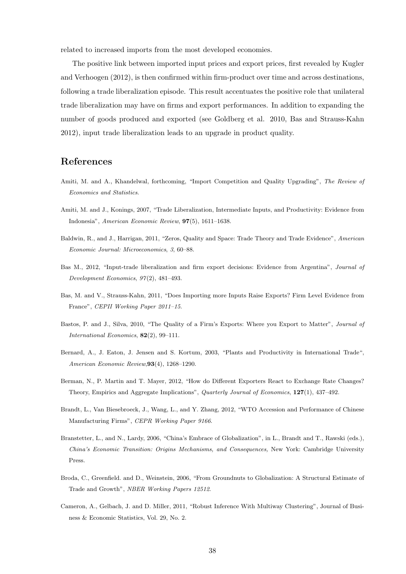related to increased imports from the most developed economies.

The positive link between imported input prices and export prices, first revealed by Kugler and Verhoogen (2012), is then confirmed within firm-product over time and across destinations, following a trade liberalization episode. This result accentuates the positive role that unilateral trade liberalization may have on firms and export performances. In addition to expanding the number of goods produced and exported (see Goldberg et al. 2010, Bas and Strauss-Kahn 2012), input trade liberalization leads to an upgrade in product quality.

#### References

- Amiti, M. and A., Khandelwal, forthcoming, "Import Competition and Quality Upgrading", The Review of Economics and Statistics.
- Amiti, M. and J., Konings, 2007, "Trade Liberalization, Intermediate Inputs, and Productivity: Evidence from Indonesia", American Economic Review, 97(5), 1611–1638.
- Baldwin, R., and J., Harrigan, 2011, "Zeros, Quality and Space: Trade Theory and Trade Evidence", American Economic Journal: Microeconomics, 3, 60–88.
- Bas M., 2012, "Input-trade liberalization and firm export decisions: Evidence from Argentina", Journal of Development Economics, 97 (2), 481–493.
- Bas, M. and V., Strauss-Kahn, 2011, "Does Importing more Inputs Raise Exports? Firm Level Evidence from France", CEPII Working Paper 2011–15.
- Bastos, P. and J., Silva, 2010, "The Quality of a Firm's Exports: Where you Export to Matter", Journal of International Economics, 82(2), 99–111.
- Bernard, A., J. Eaton, J. Jensen and S. Kortum, 2003, "Plants and Productivity in International Trade", American Economic Review,93(4), 1268–1290.
- Berman, N., P. Martin and T. Mayer, 2012, "How do Different Exporters React to Exchange Rate Changes? Theory, Empirics and Aggregate Implications", Quarterly Journal of Economics, 127(1), 437-492.
- Brandt, L., Van Biesebroeck, J., Wang, L., and Y. Zhang, 2012, "WTO Accession and Performance of Chinese Manufacturing Firms", CEPR Working Paper 9166.
- Branstetter, L., and N., Lardy, 2006, "China's Embrace of Globalization", in L., Brandt and T., Rawski (eds.), China's Economic Transition: Origins Mechanisms, and Consequences, New York: Cambridge University Press.
- Broda, C., Greenfield. and D., Weinstein, 2006, "From Groundnuts to Globalization: A Structural Estimate of Trade and Growth", NBER Working Papers 12512.
- Cameron, A., Gelbach, J. and D. Miller, 2011, "Robust Inference With Multiway Clustering", Journal of Business & Economic Statistics, Vol. 29, No. 2.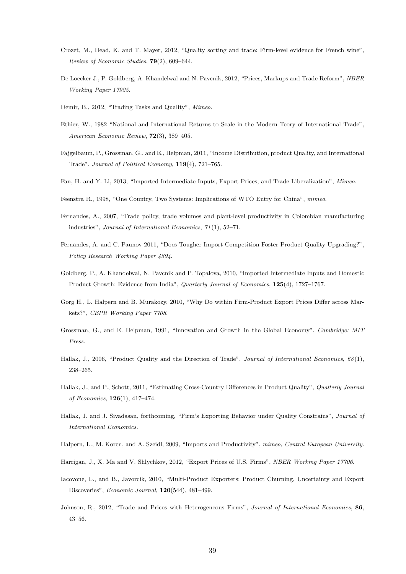- Crozet, M., Head, K. and T. Mayer, 2012, "Quality sorting and trade: Firm-level evidence for French wine", Review of Economic Studies, 79(2), 609–644.
- De Loecker J., P. Goldberg, A. Khandelwal and N. Pavcnik, 2012, "Prices, Markups and Trade Reform", NBER Working Paper 17925.
- Demir, B., 2012, "Trading Tasks and Quality", Mimeo.
- Ethier, W., 1982 "National and International Returns to Scale in the Modern Teory of International Trade", American Economic Review, 72(3), 389–405.
- Fajgelbaum, P., Grossman, G., and E., Helpman, 2011, "Income Distribution, product Quality, and International Trade", Journal of Political Economy, 119(4), 721–765.
- Fan, H. and Y. Li, 2013, "Imported Intermediate Inputs, Export Prices, and Trade Liberalization", Mimeo.
- Feenstra R., 1998, "One Country, Two Systems: Implications of WTO Entry for China", mimeo.
- Fernandes, A., 2007, "Trade policy, trade volumes and plant-level productivity in Colombian manufacturing industries", Journal of International Economics, 71 (1), 52–71.
- Fernandes, A. and C. Paunov 2011, "Does Tougher Import Competition Foster Product Quality Upgrading?", Policy Research Working Paper 4894.
- Goldberg, P., A. Khandelwal, N. Pavcnik and P. Topalova, 2010, "Imported Intermediate Inputs and Domestic Product Growth: Evidence from India", *Quarterly Journal of Economics*,  $125(4)$ , 1727–1767.
- Gorg H., L. Halpern and B. Murakozy, 2010, "Why Do within Firm-Product Export Prices Differ across Markets?", CEPR Working Paper 7708.
- Grossman, G., and E. Helpman, 1991, "Innovation and Growth in the Global Economy", Cambridge: MIT Press.
- Hallak, J., 2006, "Product Quality and the Direction of Trade", Journal of International Economics, 68 (1), 238–265.
- Hallak, J., and P., Schott, 2011, "Estimating Cross-Country Differences in Product Quality", Qualterly Journal of Economics, 126(1), 417–474.
- Hallak, J. and J. Sivadasan, forthcoming, "Firm's Exporting Behavior under Quality Constrains", Journal of International Economics.
- Halpern, L., M. Koren, and A. Szeidl, 2009, "Imports and Productivity", mimeo, Central European University.
- Harrigan, J., X. Ma and V. Shlychkov, 2012, "Export Prices of U.S. Firms", NBER Working Paper 17706.
- Iacovone, L., and B., Javorcik, 2010, "Multi-Product Exporters: Product Churning, Uncertainty and Export Discoveries", Economic Journal, 120(544), 481–499.
- Johnson, R., 2012, "Trade and Prices with Heterogeneous Firms", Journal of International Economics, 86, 43–56.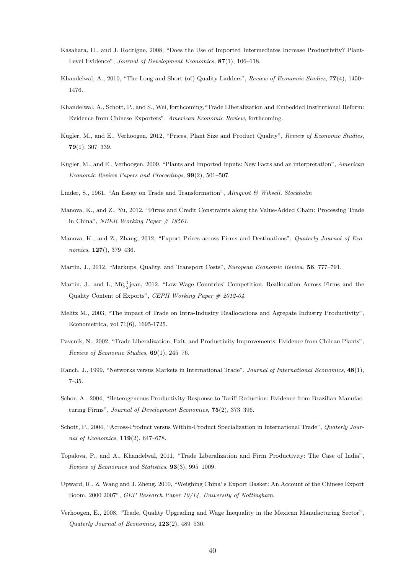- Kasahara, H., and J. Rodrigue, 2008, "Does the Use of Imported Intermediates Increase Productivity? Plant-Level Evidence", Journal of Development Economics, 87(1), 106–118.
- Khandelwal, A., 2010, "The Long and Short (of) Quality Ladders", Review of Economic Studies, 77(4), 1450– 1476.
- Khandelwal, A., Schott, P., and S., Wei, forthcoming,"Trade Liberalization and Embedded Institutional Reform: Evidence from Chinese Exporters", American Economic Review, forthcoming.
- Kugler, M., and E., Verhoogen, 2012, "Prices, Plant Size and Product Quality", Review of Economic Studies, 79(1), 307–339.
- Kugler, M., and E., Verhoogen, 2009, "Plants and Imported Inputs: New Facts and an interpretation", American Economic Review Papers and Proceedings, 99(2), 501–507.
- Linder, S., 1961, "An Essay on Trade and Transformation",  $Almqvist \& Wiksell, Stockholm$
- Manova, K., and Z., Yu, 2012, "Firms and Credit Constraints along the Value-Added Chain: Processing Trade in China", NBER Working Paper  $\#$  18561.
- Manova, K., and Z., Zhang, 2012, "Export Prices across Firms and Destinations", Quaterly Journal of Economics, 127(), 379–436.
- Martin, J., 2012, "Markups, Quality, and Transport Costs", European Economic Review, 56, 777-791.
- Martin, J., and I.,  $\text{Mi}_{\mathcal{L}}^1$  1 jean, 2012. "Low-Wage Countries' Competition, Reallocation Across Firms and the Quality Content of Exports", CEPII Working Paper # 2012-04.
- Melitz M., 2003, "The impact of Trade on Intra-Industry Reallocations and Agregate Industry Productivity", Econometrica, vol 71(6), 1695-1725.
- Pavcnik, N., 2002, "Trade Liberalization, Exit, and Productivity Improvements: Evidence from Chilean Plants", Review of Economic Studies, 69(1), 245–76.
- Rauch, J., 1999, "Networks versus Markets in International Trade", Journal of International Economics, 48(1), 7–35.
- Schor, A., 2004, "Heterogeneous Productivity Response to Tariff Reduction: Evidence from Brazilian Manufacturing Firms", Journal of Development Economics, 75(2), 373–396.
- Schott, P., 2004, "Across-Product versus Within-Product Specialization in International Trade", Quaterly Journal of Economics, 119(2), 647–678.
- Topalova, P., and A., Khandelwal, 2011, "Trade Liberalization and Firm Productivity: The Case of India", Review of Economics and Statistics, 93(3), 995–1009.
- Upward, R., Z. Wang and J. Zheng, 2010, "Weighing China' s Export Basket: An Account of the Chinese Export Boom, 2000 2007", GEP Research Paper 10/14, University of Nottingham.
- Verhoogen, E., 2008, "Trade, Quality Upgrading and Wage Inequality in the Mexican Manufacturing Sector", Quaterly Journal of Economics, 123(2), 489–530.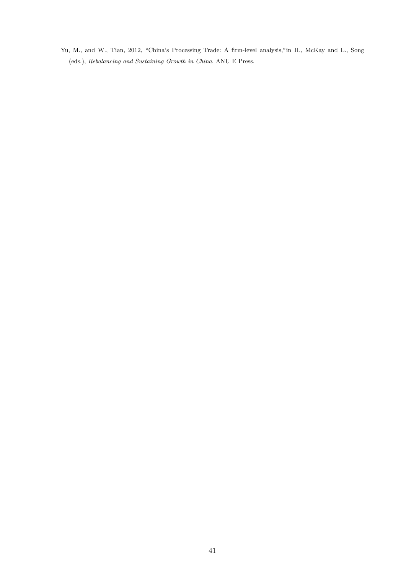Yu, M., and W., Tian, 2012, "China's Processing Trade: A firm-level analysis,"in H., McKay and L., Song (eds.), Rebalancing and Sustaining Growth in China, ANU E Press.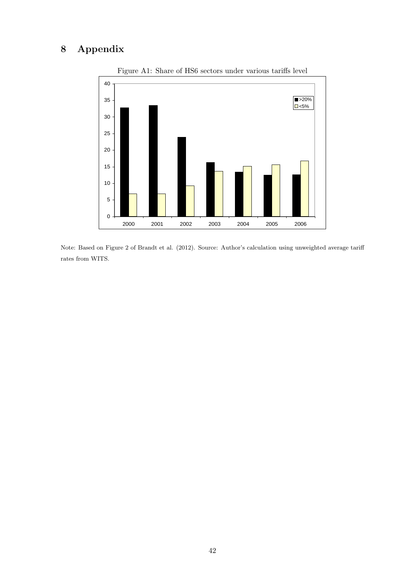## 8 Appendix



Figure A1: Share of HS6 sectors under various tariffs level

Note: Based on Figure 2 of Brandt et al. (2012). Source: Author's calculation using unweighted average tariff rates from WITS.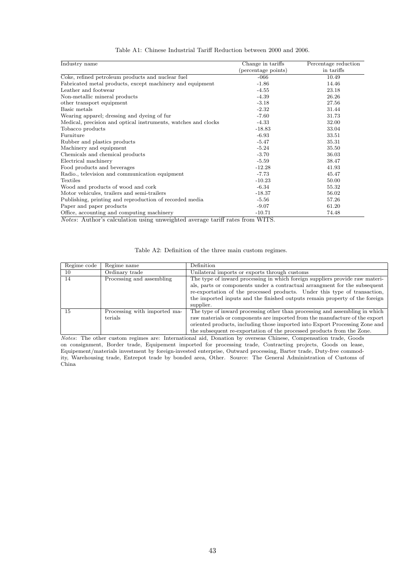| Industry name                                                                                                                                                                                                              | Change in tariffs   | Percentage reduction |
|----------------------------------------------------------------------------------------------------------------------------------------------------------------------------------------------------------------------------|---------------------|----------------------|
|                                                                                                                                                                                                                            | (percentage points) | in tariffs           |
| Coke, refined petroleum products and nuclear fuel                                                                                                                                                                          | $-066$              | 10.49                |
| Fabricated metal products, except machinery and equipment                                                                                                                                                                  | $-1.86$             | 14.46                |
| Leather and footwear                                                                                                                                                                                                       | $-4.55$             | 23.18                |
| Non-metallic mineral products                                                                                                                                                                                              | $-4.39$             | 26.26                |
| other transport equipment                                                                                                                                                                                                  | $-3.18$             | 27.56                |
| Basic metals                                                                                                                                                                                                               | $-2.32$             | 31.44                |
| Wearing apparel; dressing and dyeing of fur                                                                                                                                                                                | $-7.60$             | 31.73                |
| Medical, precision and optical instruments, watches and clocks                                                                                                                                                             | $-4.33$             | 32.00                |
| Tobacco products                                                                                                                                                                                                           | $-18.83$            | 33.04                |
| Furniture                                                                                                                                                                                                                  | $-6.93$             | 33.51                |
| Rubber and plastics products                                                                                                                                                                                               | $-5.47$             | 35.31                |
| Machinery and equipment                                                                                                                                                                                                    | $-5.24$             | 35.50                |
| Chemicals and chemical products                                                                                                                                                                                            | $-3.70$             | 36.03                |
| Electrical machinery                                                                                                                                                                                                       | $-5.59$             | 38.47                |
| Food products and beverages                                                                                                                                                                                                | $-12.28$            | 41.93                |
| Radio., television and communication equipment                                                                                                                                                                             | $-7.73$             | 45.47                |
| Textiles                                                                                                                                                                                                                   | $-10.23$            | 50.00                |
| Wood and products of wood and cork                                                                                                                                                                                         | $-6.34$             | 55.32                |
| Motor vehicules, trailers and semi-trailers                                                                                                                                                                                | $-18.37$            | 56.02                |
| Publishing, printing and reproduction of recorded media                                                                                                                                                                    | $-5.56$             | 57.26                |
| Paper and paper products                                                                                                                                                                                                   | $-9.07$             | 61.20                |
| Office, accounting and computing machinery<br>$\mathbf{a}$ and $\mathbf{b}$ and $\mathbf{a}$ and $\mathbf{a}$ and $\mathbf{a}$ and $\mathbf{a}$ and $\mathbf{a}$ and $\mathbf{a}$<br>$\sim$<br>$\sim$ $\sim$ $\sim$ $\sim$ | $-10.71$<br>------- | 74.48                |

#### Table A1: Chinese Industrial Tariff Reduction between 2000 and 2006.

Notes: Author's calculation using unweighted average tariff rates from WITS.

#### Table A2: Definition of the three main custom regimes.

| Regime code | Regime name                                   | Definition                                                                                                                                                                                                                                                                                                                          |
|-------------|-----------------------------------------------|-------------------------------------------------------------------------------------------------------------------------------------------------------------------------------------------------------------------------------------------------------------------------------------------------------------------------------------|
| 10          | Ordinary trade                                | Unilateral imports or exports through customs                                                                                                                                                                                                                                                                                       |
| 14          | Processing and assembling                     | The type of inward processing in which foreign suppliers provide raw materi-<br>als, parts or components under a contractual arrangment for the subsequent<br>re-exportation of the processed products. Under this type of transaction,<br>the imported inputs and the finished outputs remain property of the foreign<br>supplier. |
| 15          | Processing with imported ma-<br>$\rm terials$ | The type of inward processing other than processing and assembling in which<br>raw materials or components are imported from the manufacture of the export<br>oriented products, including those imported into Export Processing Zone and<br>the subsequent re-exportation of the processed products from the Zone.                 |

Notes: The other custom regimes are: International aid, Donation by overseas Chinese, Compensation trade, Goods on consignment, Border trade, Equipement imported for processing trade, Contracting projects, Goods on lease, Equipement/materials investment by foreign-invested enterprise, Outward processing, Barter trade, Duty-free commodity, Warehousing trade, Entrepot trade by bonded area, Other. Source: The General Administration of Customs of China